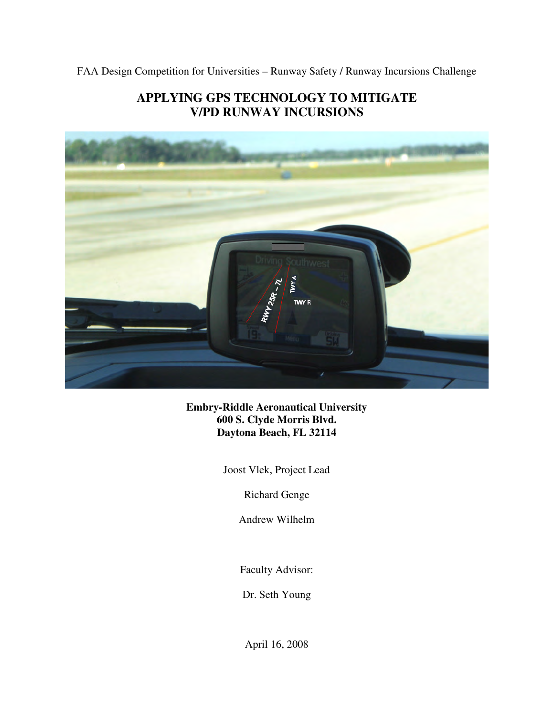FAA Design Competition for Universities – Runway Safety / Runway Incursions Challenge

# **APPLYING GPS TECHNOLOGY TO MITIGATE V/PD RUNWAY INCURSIONS**



**Embry-Riddle Aeronautical University 600 S. Clyde Morris Blvd. Daytona Beach, FL 32114** 

Joost Vlek, Project Lead

Richard Genge

Andrew Wilhelm

Faculty Advisor:

Dr. Seth Young

April 16, 2008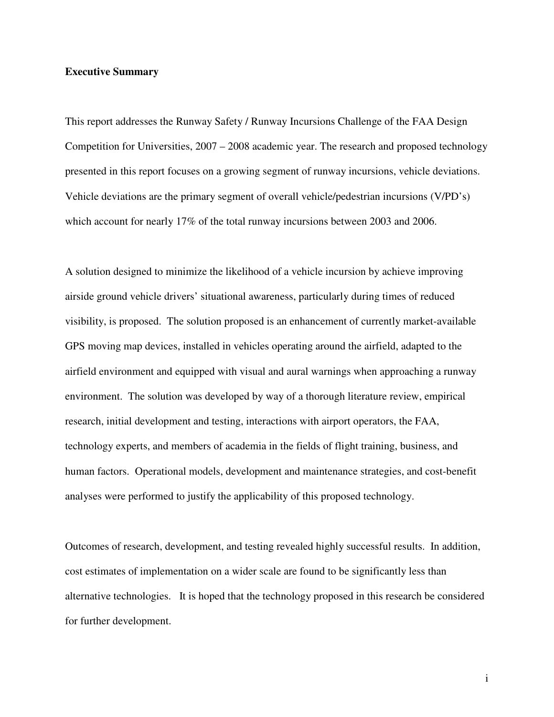#### **Executive Summary**

This report addresses the Runway Safety / Runway Incursions Challenge of the FAA Design Competition for Universities, 2007 – 2008 academic year. The research and proposed technology presented in this report focuses on a growing segment of runway incursions, vehicle deviations. Vehicle deviations are the primary segment of overall vehicle/pedestrian incursions (V/PD's) which account for nearly 17% of the total runway incursions between 2003 and 2006.

A solution designed to minimize the likelihood of a vehicle incursion by achieve improving airside ground vehicle drivers' situational awareness, particularly during times of reduced visibility, is proposed. The solution proposed is an enhancement of currently market-available GPS moving map devices, installed in vehicles operating around the airfield, adapted to the airfield environment and equipped with visual and aural warnings when approaching a runway environment. The solution was developed by way of a thorough literature review, empirical research, initial development and testing, interactions with airport operators, the FAA, technology experts, and members of academia in the fields of flight training, business, and human factors. Operational models, development and maintenance strategies, and cost-benefit analyses were performed to justify the applicability of this proposed technology.

Outcomes of research, development, and testing revealed highly successful results. In addition, cost estimates of implementation on a wider scale are found to be significantly less than alternative technologies. It is hoped that the technology proposed in this research be considered for further development.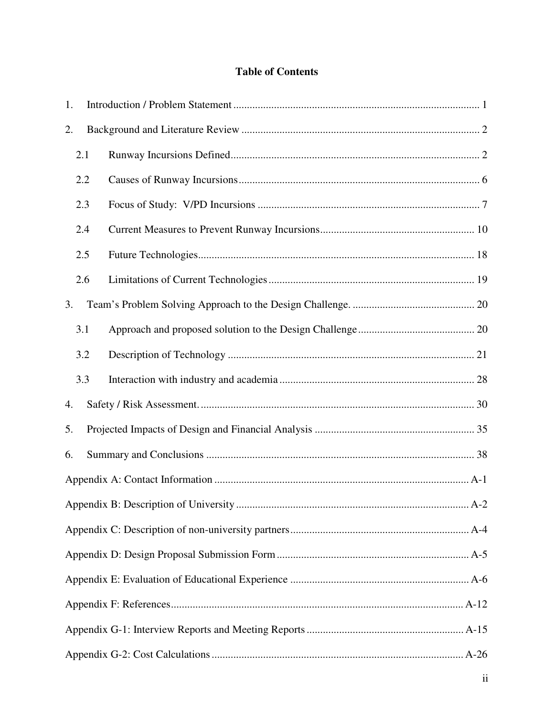# **Table of Contents**

| 1. |     |  |  |  |  |  |  |  |  |  |
|----|-----|--|--|--|--|--|--|--|--|--|
| 2. |     |  |  |  |  |  |  |  |  |  |
|    | 2.1 |  |  |  |  |  |  |  |  |  |
|    | 2.2 |  |  |  |  |  |  |  |  |  |
|    | 2.3 |  |  |  |  |  |  |  |  |  |
|    | 2.4 |  |  |  |  |  |  |  |  |  |
|    | 2.5 |  |  |  |  |  |  |  |  |  |
|    | 2.6 |  |  |  |  |  |  |  |  |  |
| 3. |     |  |  |  |  |  |  |  |  |  |
|    | 3.1 |  |  |  |  |  |  |  |  |  |
|    | 3.2 |  |  |  |  |  |  |  |  |  |
|    | 3.3 |  |  |  |  |  |  |  |  |  |
| 4. |     |  |  |  |  |  |  |  |  |  |
|    | 5.  |  |  |  |  |  |  |  |  |  |
| 6. |     |  |  |  |  |  |  |  |  |  |
|    |     |  |  |  |  |  |  |  |  |  |
|    |     |  |  |  |  |  |  |  |  |  |
|    |     |  |  |  |  |  |  |  |  |  |
|    |     |  |  |  |  |  |  |  |  |  |
|    |     |  |  |  |  |  |  |  |  |  |
|    |     |  |  |  |  |  |  |  |  |  |
|    |     |  |  |  |  |  |  |  |  |  |
|    |     |  |  |  |  |  |  |  |  |  |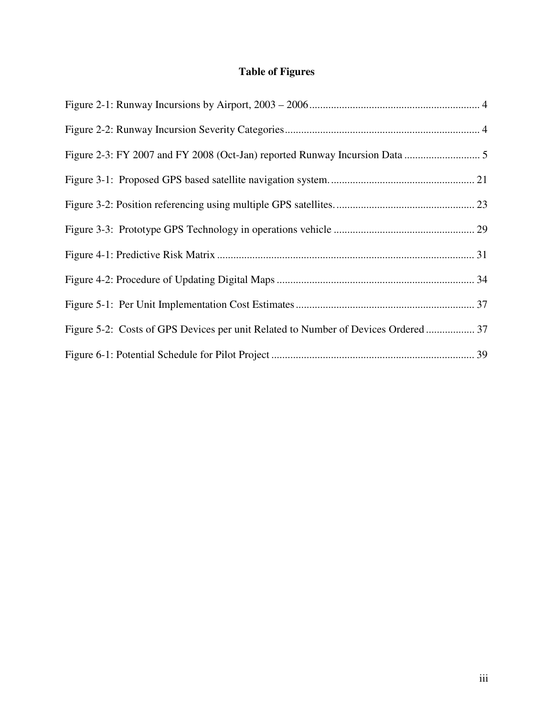# **Table of Figures**

| Figure 5-2: Costs of GPS Devices per unit Related to Number of Devices Ordered 37 |  |
|-----------------------------------------------------------------------------------|--|
|                                                                                   |  |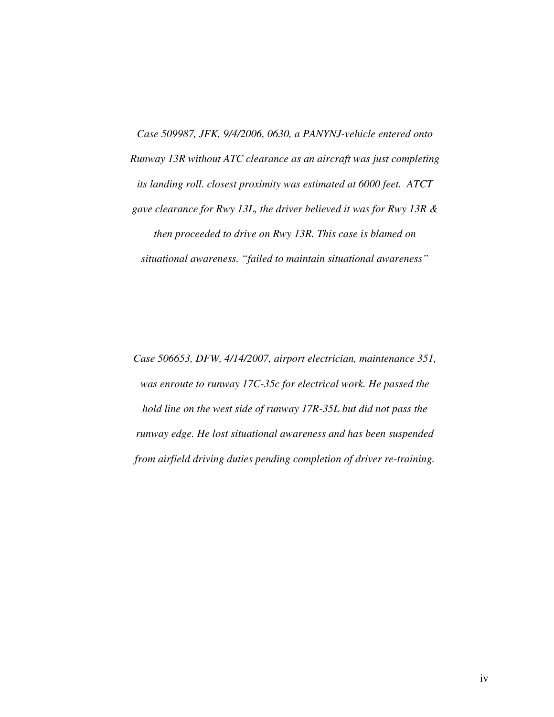*Case 509987, JFK, 9/4/2006, 0630, a PANYNJ-vehicle entered onto Runway 13R without ATC clearance as an aircraft was just completing its landing roll. closest proximity was estimated at 6000 feet. ATCT gave clearance for Rwy 13L, the driver believed it was for Rwy 13R & then proceeded to drive on Rwy 13R. This case is blamed on situational awareness. "failed to maintain situational awareness"* 

*Case 506653, DFW, 4/14/2007, airport electrician, maintenance 351, was enroute to runway 17C-35c for electrical work. He passed the hold line on the west side of runway 17R-35L but did not pass the runway edge. He lost situational awareness and has been suspended from airfield driving duties pending completion of driver re-training.*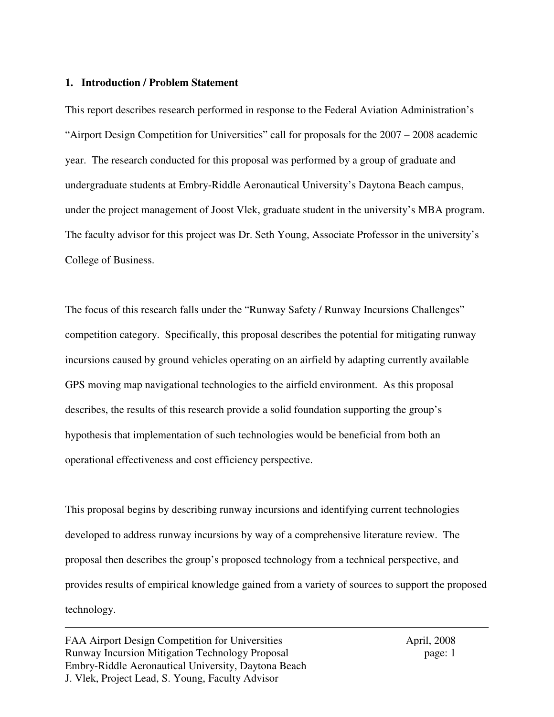#### **1. Introduction / Problem Statement**

This report describes research performed in response to the Federal Aviation Administration's "Airport Design Competition for Universities" call for proposals for the 2007 – 2008 academic year. The research conducted for this proposal was performed by a group of graduate and undergraduate students at Embry-Riddle Aeronautical University's Daytona Beach campus, under the project management of Joost Vlek, graduate student in the university's MBA program. The faculty advisor for this project was Dr. Seth Young, Associate Professor in the university's College of Business.

The focus of this research falls under the "Runway Safety / Runway Incursions Challenges" competition category. Specifically, this proposal describes the potential for mitigating runway incursions caused by ground vehicles operating on an airfield by adapting currently available GPS moving map navigational technologies to the airfield environment. As this proposal describes, the results of this research provide a solid foundation supporting the group's hypothesis that implementation of such technologies would be beneficial from both an operational effectiveness and cost efficiency perspective.

This proposal begins by describing runway incursions and identifying current technologies developed to address runway incursions by way of a comprehensive literature review. The proposal then describes the group's proposed technology from a technical perspective, and provides results of empirical knowledge gained from a variety of sources to support the proposed technology.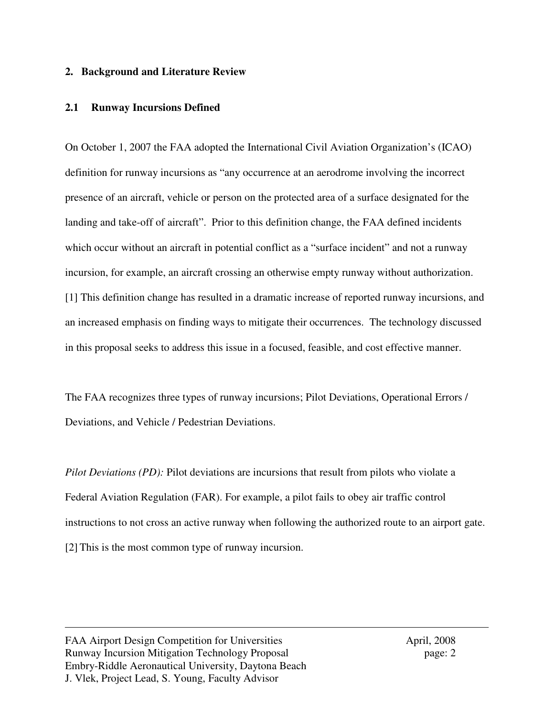#### **2. Background and Literature Review**

### **2.1 Runway Incursions Defined**

On October 1, 2007 the FAA adopted the International Civil Aviation Organization's (ICAO) definition for runway incursions as "any occurrence at an aerodrome involving the incorrect presence of an aircraft, vehicle or person on the protected area of a surface designated for the landing and take-off of aircraft". Prior to this definition change, the FAA defined incidents which occur without an aircraft in potential conflict as a "surface incident" and not a runway incursion, for example, an aircraft crossing an otherwise empty runway without authorization. [1] This definition change has resulted in a dramatic increase of reported runway incursions, and an increased emphasis on finding ways to mitigate their occurrences. The technology discussed in this proposal seeks to address this issue in a focused, feasible, and cost effective manner.

The FAA recognizes three types of runway incursions; Pilot Deviations, Operational Errors / Deviations, and Vehicle / Pedestrian Deviations.

*Pilot Deviations (PD):* Pilot deviations are incursions that result from pilots who violate a Federal Aviation Regulation (FAR). For example, a pilot fails to obey air traffic control instructions to not cross an active runway when following the authorized route to an airport gate. [2] This is the most common type of runway incursion.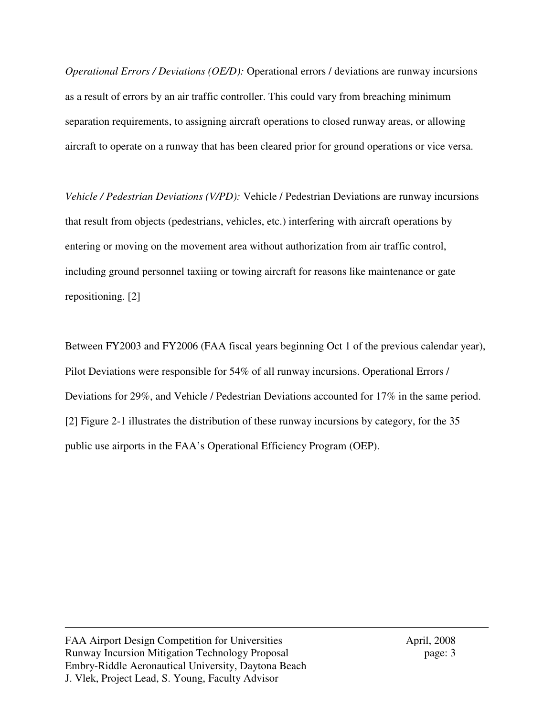*Operational Errors / Deviations (OE/D):* Operational errors / deviations are runway incursions as a result of errors by an air traffic controller. This could vary from breaching minimum separation requirements, to assigning aircraft operations to closed runway areas, or allowing aircraft to operate on a runway that has been cleared prior for ground operations or vice versa.

*Vehicle / Pedestrian Deviations (V/PD):* Vehicle / Pedestrian Deviations are runway incursions that result from objects (pedestrians, vehicles, etc.) interfering with aircraft operations by entering or moving on the movement area without authorization from air traffic control, including ground personnel taxiing or towing aircraft for reasons like maintenance or gate repositioning. [2]

Between FY2003 and FY2006 (FAA fiscal years beginning Oct 1 of the previous calendar year), Pilot Deviations were responsible for 54% of all runway incursions. Operational Errors / Deviations for 29%, and Vehicle / Pedestrian Deviations accounted for 17% in the same period. [2] Figure 2-1 illustrates the distribution of these runway incursions by category, for the 35 public use airports in the FAA's Operational Efficiency Program (OEP).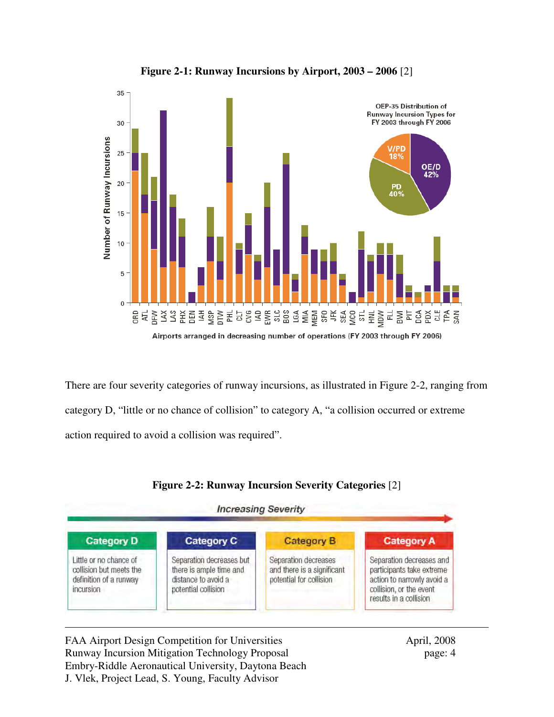

**Figure 2-1: Runway Incursions by Airport, 2003 – 2006** [2]

There are four severity categories of runway incursions, as illustrated in Figure 2-2, ranging from category D, "little or no chance of collision" to category A, "a collision occurred or extreme action required to avoid a collision was required".



### **Figure 2-2: Runway Incursion Severity Categories** [2]

FAA Airport Design Competition for Universities April, 2008 Runway Incursion Mitigation Technology Proposal page: 4 Embry-Riddle Aeronautical University, Daytona Beach J. Vlek, Project Lead, S. Young, Faculty Advisor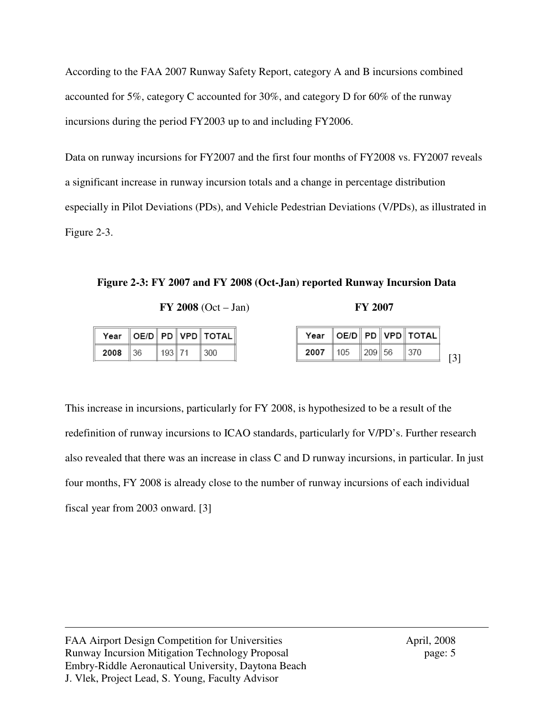According to the FAA 2007 Runway Safety Report, category A and B incursions combined accounted for 5%, category C accounted for 30%, and category D for 60% of the runway incursions during the period FY2003 up to and including FY2006.

Data on runway incursions for FY2007 and the first four months of FY2008 vs. FY2007 reveals a significant increase in runway incursion totals and a change in percentage distribution especially in Pilot Deviations (PDs), and Vehicle Pedestrian Deviations (V/PDs), as illustrated in Figure 2-3.

**Figure 2-3: FY 2007 and FY 2008 (Oct-Jan) reported Runway Incursion Data**

**FY 2008** (Oct – Jan) **FY 2007**

|      |       |        | Year    OE/D    PD    VPD    TOTAL |      | Year    OE/D    PD    VPD    TOTAL |         |                 |
|------|-------|--------|------------------------------------|------|------------------------------------|---------|-----------------|
| 2008 | ll 36 | 193 71 | 300                                | 2007 | 105                                | ∥209∥56 | $\parallel$ 370 |

This increase in incursions, particularly for FY 2008, is hypothesized to be a result of the redefinition of runway incursions to ICAO standards, particularly for V/PD's. Further research also revealed that there was an increase in class C and D runway incursions, in particular. In just four months, FY 2008 is already close to the number of runway incursions of each individual fiscal year from 2003 onward. [3]

FAA Airport Design Competition for Universities April, 2008 Runway Incursion Mitigation Technology Proposal page: 5 Embry-Riddle Aeronautical University, Daytona Beach J. Vlek, Project Lead, S. Young, Faculty Advisor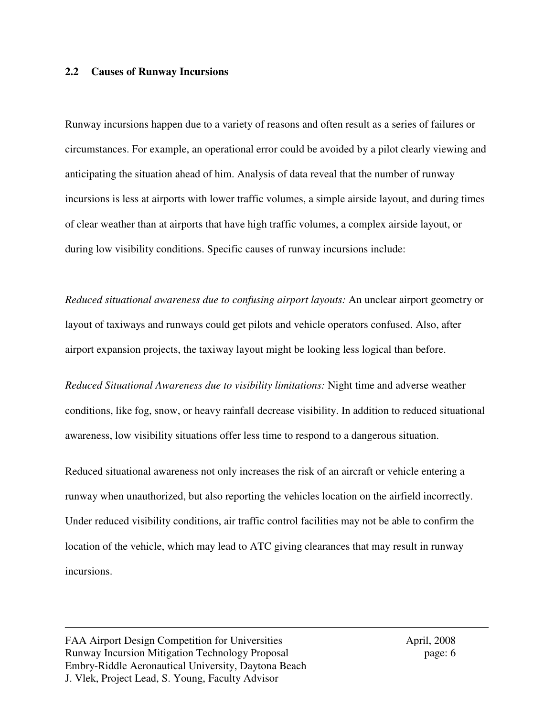### **2.2 Causes of Runway Incursions**

Runway incursions happen due to a variety of reasons and often result as a series of failures or circumstances. For example, an operational error could be avoided by a pilot clearly viewing and anticipating the situation ahead of him. Analysis of data reveal that the number of runway incursions is less at airports with lower traffic volumes, a simple airside layout, and during times of clear weather than at airports that have high traffic volumes, a complex airside layout, or during low visibility conditions. Specific causes of runway incursions include:

*Reduced situational awareness due to confusing airport layouts:* An unclear airport geometry or layout of taxiways and runways could get pilots and vehicle operators confused. Also, after airport expansion projects, the taxiway layout might be looking less logical than before.

*Reduced Situational Awareness due to visibility limitations:* Night time and adverse weather conditions, like fog, snow, or heavy rainfall decrease visibility. In addition to reduced situational awareness, low visibility situations offer less time to respond to a dangerous situation.

Reduced situational awareness not only increases the risk of an aircraft or vehicle entering a runway when unauthorized, but also reporting the vehicles location on the airfield incorrectly. Under reduced visibility conditions, air traffic control facilities may not be able to confirm the location of the vehicle, which may lead to ATC giving clearances that may result in runway incursions.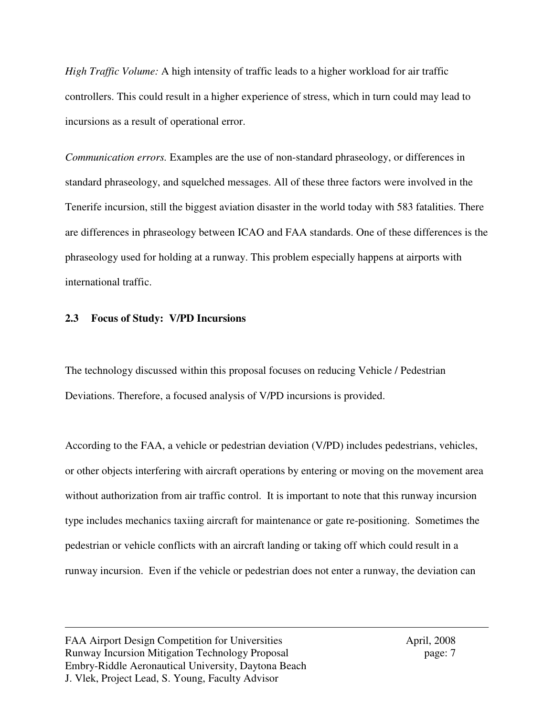*High Traffic Volume:* A high intensity of traffic leads to a higher workload for air traffic controllers. This could result in a higher experience of stress, which in turn could may lead to incursions as a result of operational error.

*Communication errors.* Examples are the use of non-standard phraseology, or differences in standard phraseology, and squelched messages. All of these three factors were involved in the Tenerife incursion, still the biggest aviation disaster in the world today with 583 fatalities. There are differences in phraseology between ICAO and FAA standards. One of these differences is the phraseology used for holding at a runway. This problem especially happens at airports with international traffic.

### **2.3 Focus of Study: V/PD Incursions**

The technology discussed within this proposal focuses on reducing Vehicle / Pedestrian Deviations. Therefore, a focused analysis of V/PD incursions is provided.

According to the FAA, a vehicle or pedestrian deviation (V/PD) includes pedestrians, vehicles, or other objects interfering with aircraft operations by entering or moving on the movement area without authorization from air traffic control. It is important to note that this runway incursion type includes mechanics taxiing aircraft for maintenance or gate re-positioning. Sometimes the pedestrian or vehicle conflicts with an aircraft landing or taking off which could result in a runway incursion. Even if the vehicle or pedestrian does not enter a runway, the deviation can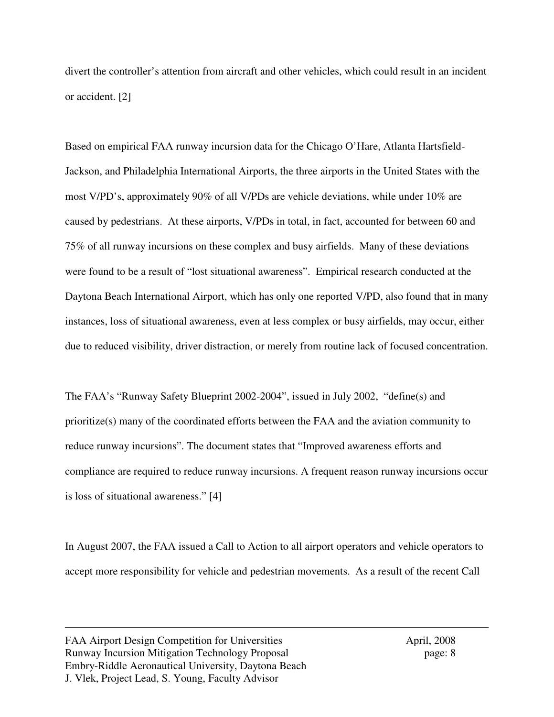divert the controller's attention from aircraft and other vehicles, which could result in an incident or accident. [2]

Based on empirical FAA runway incursion data for the Chicago O'Hare, Atlanta Hartsfield-Jackson, and Philadelphia International Airports, the three airports in the United States with the most V/PD's, approximately 90% of all V/PDs are vehicle deviations, while under 10% are caused by pedestrians. At these airports, V/PDs in total, in fact, accounted for between 60 and 75% of all runway incursions on these complex and busy airfields. Many of these deviations were found to be a result of "lost situational awareness". Empirical research conducted at the Daytona Beach International Airport, which has only one reported V/PD, also found that in many instances, loss of situational awareness, even at less complex or busy airfields, may occur, either due to reduced visibility, driver distraction, or merely from routine lack of focused concentration.

The FAA's "Runway Safety Blueprint 2002-2004", issued in July 2002, "define(s) and prioritize(s) many of the coordinated efforts between the FAA and the aviation community to reduce runway incursions". The document states that "Improved awareness efforts and compliance are required to reduce runway incursions. A frequent reason runway incursions occur is loss of situational awareness." [4]

In August 2007, the FAA issued a Call to Action to all airport operators and vehicle operators to accept more responsibility for vehicle and pedestrian movements. As a result of the recent Call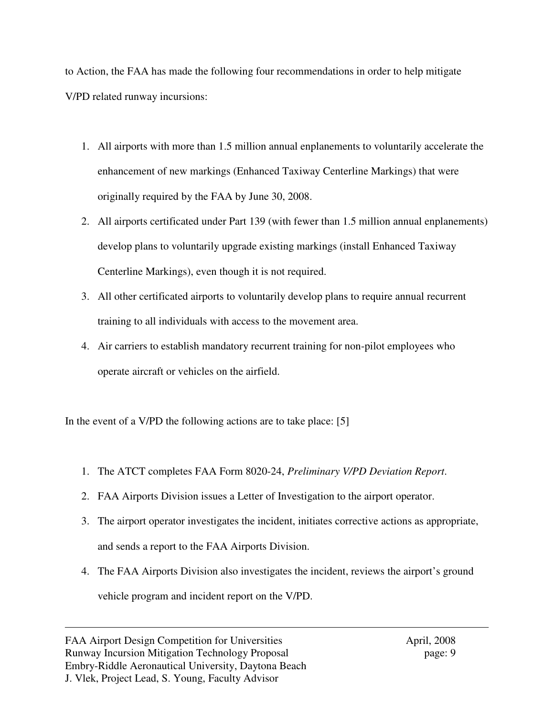to Action, the FAA has made the following four recommendations in order to help mitigate V/PD related runway incursions:

- 1. All airports with more than 1.5 million annual enplanements to voluntarily accelerate the enhancement of new markings (Enhanced Taxiway Centerline Markings) that were originally required by the FAA by June 30, 2008.
- 2. All airports certificated under Part 139 (with fewer than 1.5 million annual enplanements) develop plans to voluntarily upgrade existing markings (install Enhanced Taxiway Centerline Markings), even though it is not required.
- 3. All other certificated airports to voluntarily develop plans to require annual recurrent training to all individuals with access to the movement area.
- 4. Air carriers to establish mandatory recurrent training for non-pilot employees who operate aircraft or vehicles on the airfield.

In the event of a V/PD the following actions are to take place: [5]

- 1. The ATCT completes FAA Form 8020-24, *Preliminary V/PD Deviation Report*.
- 2. FAA Airports Division issues a Letter of Investigation to the airport operator.
- 3. The airport operator investigates the incident, initiates corrective actions as appropriate, and sends a report to the FAA Airports Division.
- 4. The FAA Airports Division also investigates the incident, reviews the airport's ground vehicle program and incident report on the V/PD.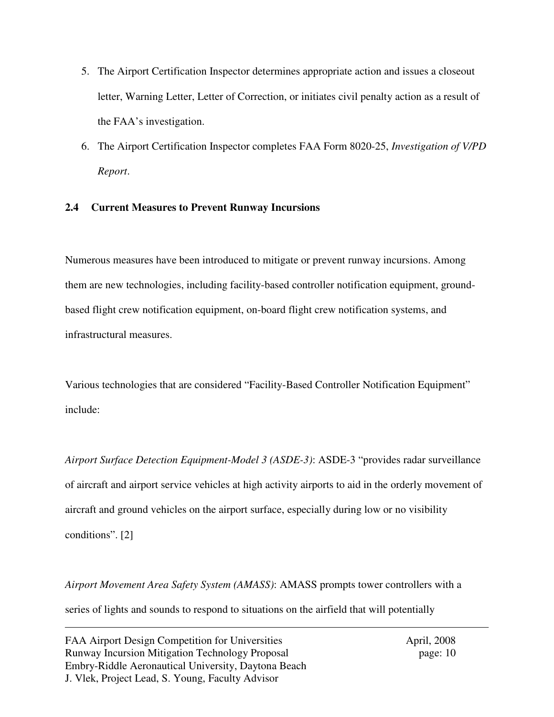- 5. The Airport Certification Inspector determines appropriate action and issues a closeout letter, Warning Letter, Letter of Correction, or initiates civil penalty action as a result of the FAA's investigation.
- 6. The Airport Certification Inspector completes FAA Form 8020-25, *Investigation of V/PD Report*.

# **2.4 Current Measures to Prevent Runway Incursions**

Numerous measures have been introduced to mitigate or prevent runway incursions. Among them are new technologies, including facility-based controller notification equipment, groundbased flight crew notification equipment, on-board flight crew notification systems, and infrastructural measures.

Various technologies that are considered "Facility-Based Controller Notification Equipment" include:

*Airport Surface Detection Equipment-Model 3 (ASDE-3)*: ASDE-3 "provides radar surveillance of aircraft and airport service vehicles at high activity airports to aid in the orderly movement of aircraft and ground vehicles on the airport surface, especially during low or no visibility conditions". [2]

*Airport Movement Area Safety System (AMASS)*: AMASS prompts tower controllers with a series of lights and sounds to respond to situations on the airfield that will potentially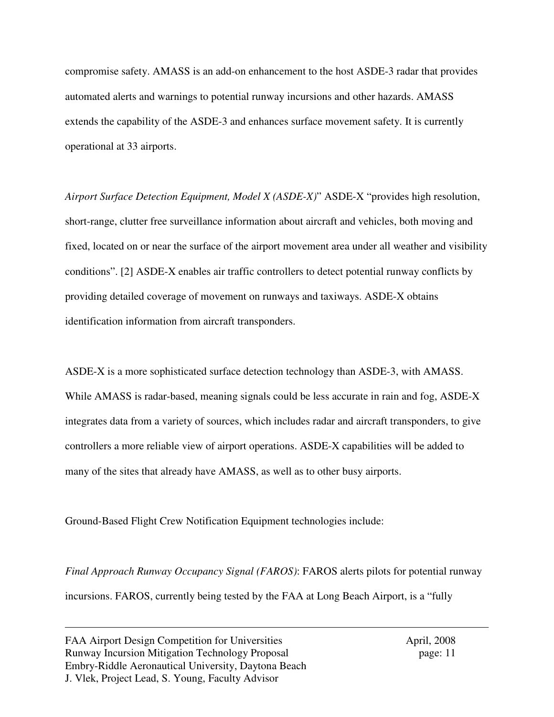compromise safety. AMASS is an add-on enhancement to the host ASDE-3 radar that provides automated alerts and warnings to potential runway incursions and other hazards. AMASS extends the capability of the ASDE-3 and enhances surface movement safety. It is currently operational at 33 airports.

*Airport Surface Detection Equipment, Model X (ASDE-X)*" ASDE-X "provides high resolution, short-range, clutter free surveillance information about aircraft and vehicles, both moving and fixed, located on or near the surface of the airport movement area under all weather and visibility conditions". [2] ASDE-X enables air traffic controllers to detect potential runway conflicts by providing detailed coverage of movement on runways and taxiways. ASDE-X obtains identification information from aircraft transponders.

ASDE-X is a more sophisticated surface detection technology than ASDE-3, with AMASS. While AMASS is radar-based, meaning signals could be less accurate in rain and fog, ASDE-X integrates data from a variety of sources, which includes radar and aircraft transponders, to give controllers a more reliable view of airport operations. ASDE-X capabilities will be added to many of the sites that already have AMASS, as well as to other busy airports.

Ground-Based Flight Crew Notification Equipment technologies include:

*Final Approach Runway Occupancy Signal (FAROS)*: FAROS alerts pilots for potential runway incursions. FAROS, currently being tested by the FAA at Long Beach Airport, is a "fully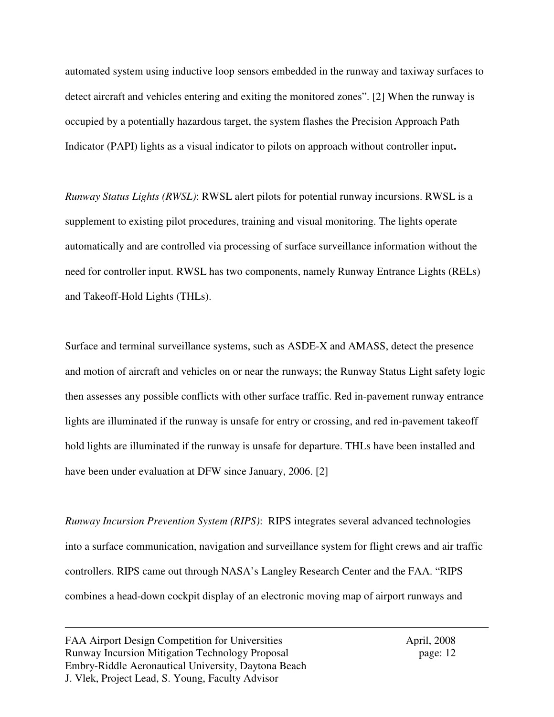automated system using inductive loop sensors embedded in the runway and taxiway surfaces to detect aircraft and vehicles entering and exiting the monitored zones". [2] When the runway is occupied by a potentially hazardous target, the system flashes the Precision Approach Path Indicator (PAPI) lights as a visual indicator to pilots on approach without controller input**.**

*Runway Status Lights (RWSL)*: RWSL alert pilots for potential runway incursions. RWSL is a supplement to existing pilot procedures, training and visual monitoring. The lights operate automatically and are controlled via processing of surface surveillance information without the need for controller input. RWSL has two components, namely Runway Entrance Lights (RELs) and Takeoff-Hold Lights (THLs).

Surface and terminal surveillance systems, such as ASDE-X and AMASS, detect the presence and motion of aircraft and vehicles on or near the runways; the Runway Status Light safety logic then assesses any possible conflicts with other surface traffic. Red in-pavement runway entrance lights are illuminated if the runway is unsafe for entry or crossing, and red in-pavement takeoff hold lights are illuminated if the runway is unsafe for departure. THLs have been installed and have been under evaluation at DFW since January, 2006. [2]

*Runway Incursion Prevention System (RIPS)*:RIPS integrates several advanced technologies into a surface communication, navigation and surveillance system for flight crews and air traffic controllers. RIPS came out through NASA's Langley Research Center and the FAA. "RIPS combines a head-down cockpit display of an electronic moving map of airport runways and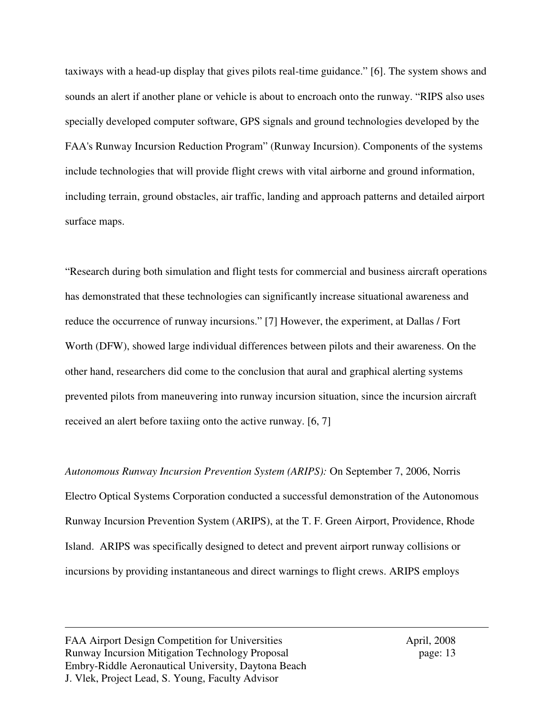taxiways with a head-up display that gives pilots real-time guidance." [6]. The system shows and sounds an alert if another plane or vehicle is about to encroach onto the runway. "RIPS also uses specially developed computer software, GPS signals and ground technologies developed by the FAA's Runway Incursion Reduction Program" (Runway Incursion). Components of the systems include technologies that will provide flight crews with vital airborne and ground information, including terrain, ground obstacles, air traffic, landing and approach patterns and detailed airport surface maps.

"Research during both simulation and flight tests for commercial and business aircraft operations has demonstrated that these technologies can significantly increase situational awareness and reduce the occurrence of runway incursions." [7] However, the experiment, at Dallas / Fort Worth (DFW), showed large individual differences between pilots and their awareness. On the other hand, researchers did come to the conclusion that aural and graphical alerting systems prevented pilots from maneuvering into runway incursion situation, since the incursion aircraft received an alert before taxiing onto the active runway. [6, 7]

*Autonomous Runway Incursion Prevention System (ARIPS):* On September 7, 2006, Norris Electro Optical Systems Corporation conducted a successful demonstration of the Autonomous Runway Incursion Prevention System (ARIPS), at the T. F. Green Airport, Providence, Rhode Island. ARIPS was specifically designed to detect and prevent airport runway collisions or incursions by providing instantaneous and direct warnings to flight crews. ARIPS employs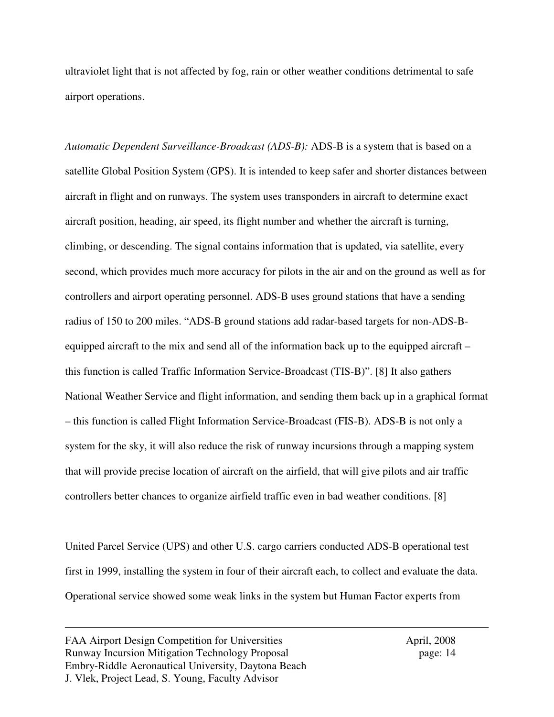ultraviolet light that is not affected by fog, rain or other weather conditions detrimental to safe airport operations.

*Automatic Dependent Surveillance-Broadcast (ADS-B):* ADS-B is a system that is based on a satellite Global Position System (GPS). It is intended to keep safer and shorter distances between aircraft in flight and on runways. The system uses transponders in aircraft to determine exact aircraft position, heading, air speed, its flight number and whether the aircraft is turning, climbing, or descending. The signal contains information that is updated, via satellite, every second, which provides much more accuracy for pilots in the air and on the ground as well as for controllers and airport operating personnel. ADS-B uses ground stations that have a sending radius of 150 to 200 miles. "ADS-B ground stations add radar-based targets for non-ADS-Bequipped aircraft to the mix and send all of the information back up to the equipped aircraft – this function is called Traffic Information Service-Broadcast (TIS-B)". [8] It also gathers National Weather Service and flight information, and sending them back up in a graphical format – this function is called Flight Information Service-Broadcast (FIS-B). ADS-B is not only a system for the sky, it will also reduce the risk of runway incursions through a mapping system that will provide precise location of aircraft on the airfield, that will give pilots and air traffic controllers better chances to organize airfield traffic even in bad weather conditions. [8]

United Parcel Service (UPS) and other U.S. cargo carriers conducted ADS-B operational test first in 1999, installing the system in four of their aircraft each, to collect and evaluate the data. Operational service showed some weak links in the system but Human Factor experts from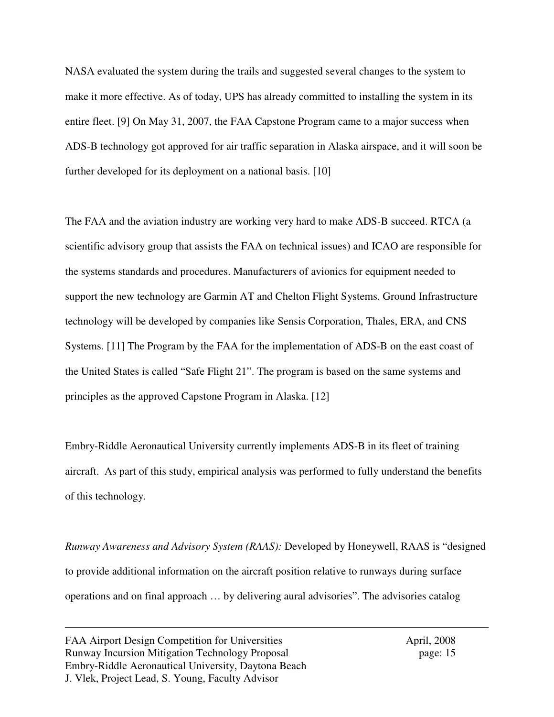NASA evaluated the system during the trails and suggested several changes to the system to make it more effective. As of today, UPS has already committed to installing the system in its entire fleet. [9] On May 31, 2007, the FAA Capstone Program came to a major success when ADS-B technology got approved for air traffic separation in Alaska airspace, and it will soon be further developed for its deployment on a national basis. [10]

The FAA and the aviation industry are working very hard to make ADS-B succeed. RTCA (a scientific advisory group that assists the FAA on technical issues) and ICAO are responsible for the systems standards and procedures. Manufacturers of avionics for equipment needed to support the new technology are Garmin AT and Chelton Flight Systems. Ground Infrastructure technology will be developed by companies like Sensis Corporation, Thales, ERA, and CNS Systems. [11] The Program by the FAA for the implementation of ADS-B on the east coast of the United States is called "Safe Flight 21". The program is based on the same systems and principles as the approved Capstone Program in Alaska. [12]

Embry-Riddle Aeronautical University currently implements ADS-B in its fleet of training aircraft. As part of this study, empirical analysis was performed to fully understand the benefits of this technology.

*Runway Awareness and Advisory System (RAAS):* Developed by Honeywell, RAAS is "designed to provide additional information on the aircraft position relative to runways during surface operations and on final approach … by delivering aural advisories". The advisories catalog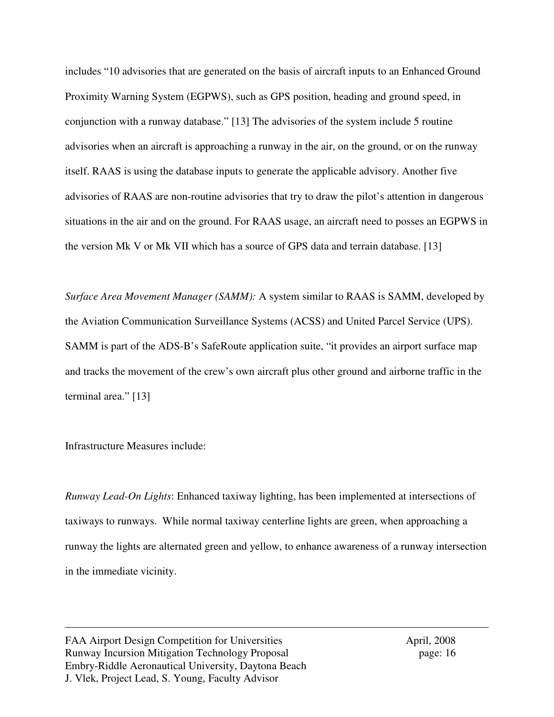includes "10 advisories that are generated on the basis of aircraft inputs to an Enhanced Ground Proximity Warning System (EGPWS), such as GPS position, heading and ground speed, in conjunction with a runway database." [13] The advisories of the system include 5 routine advisories when an aircraft is approaching a runway in the air, on the ground, or on the runway itself. RAAS is using the database inputs to generate the applicable advisory. Another five advisories of RAAS are non-routine advisories that try to draw the pilot's attention in dangerous situations in the air and on the ground. For RAAS usage, an aircraft need to posses an EGPWS in the version Mk V or Mk VII which has a source of GPS data and terrain database. [13]

*Surface Area Movement Manager (SAMM):* A system similar to RAAS is SAMM, developed by the Aviation Communication Surveillance Systems (ACSS) and United Parcel Service (UPS). SAMM is part of the ADS-B's SafeRoute application suite, "it provides an airport surface map and tracks the movement of the crew's own aircraft plus other ground and airborne traffic in the terminal area." [13]

Infrastructure Measures include:

*Runway Lead-On Lights*: Enhanced taxiway lighting, has been implemented at intersections of taxiways to runways. While normal taxiway centerline lights are green, when approaching a runway the lights are alternated green and yellow, to enhance awareness of a runway intersection in the immediate vicinity.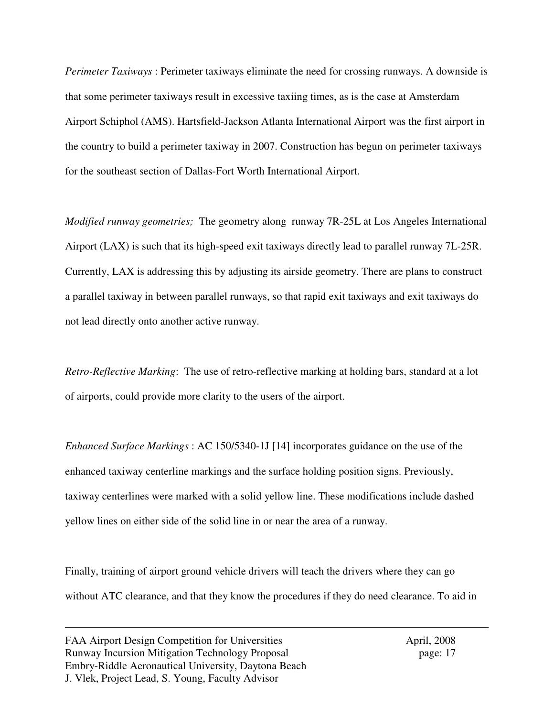*Perimeter Taxiways* : Perimeter taxiways eliminate the need for crossing runways. A downside is that some perimeter taxiways result in excessive taxiing times, as is the case at Amsterdam Airport Schiphol (AMS). Hartsfield-Jackson Atlanta International Airport was the first airport in the country to build a perimeter taxiway in 2007. Construction has begun on perimeter taxiways for the southeast section of Dallas-Fort Worth International Airport.

*Modified runway geometries;* The geometry along runway 7R-25L at Los Angeles International Airport (LAX) is such that its high-speed exit taxiways directly lead to parallel runway 7L-25R. Currently, LAX is addressing this by adjusting its airside geometry. There are plans to construct a parallel taxiway in between parallel runways, so that rapid exit taxiways and exit taxiways do not lead directly onto another active runway.

*Retro-Reflective Marking*: The use of retro-reflective marking at holding bars, standard at a lot of airports, could provide more clarity to the users of the airport.

*Enhanced Surface Markings* : AC 150/5340-1J [14] incorporates guidance on the use of the enhanced taxiway centerline markings and the surface holding position signs. Previously, taxiway centerlines were marked with a solid yellow line. These modifications include dashed yellow lines on either side of the solid line in or near the area of a runway.

Finally, training of airport ground vehicle drivers will teach the drivers where they can go without ATC clearance, and that they know the procedures if they do need clearance. To aid in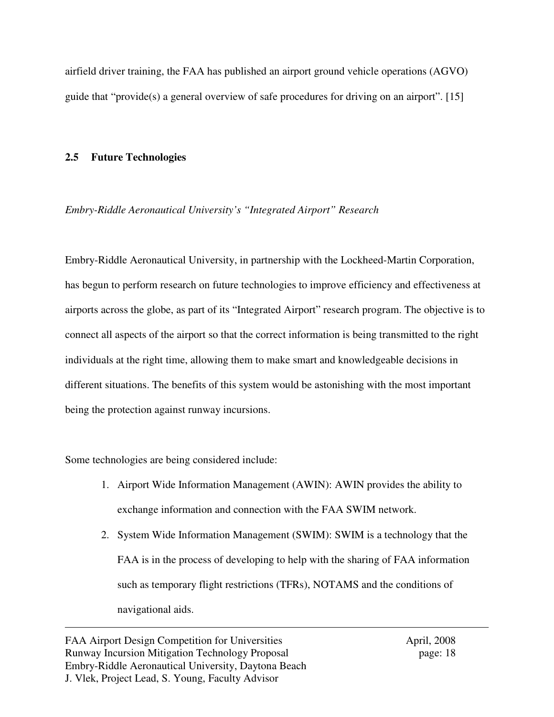airfield driver training, the FAA has published an airport ground vehicle operations (AGVO) guide that "provide(s) a general overview of safe procedures for driving on an airport". [15]

### **2.5 Future Technologies**

### *Embry-Riddle Aeronautical University's "Integrated Airport" Research*

Embry-Riddle Aeronautical University, in partnership with the Lockheed-Martin Corporation, has begun to perform research on future technologies to improve efficiency and effectiveness at airports across the globe, as part of its "Integrated Airport" research program. The objective is to connect all aspects of the airport so that the correct information is being transmitted to the right individuals at the right time, allowing them to make smart and knowledgeable decisions in different situations. The benefits of this system would be astonishing with the most important being the protection against runway incursions.

Some technologies are being considered include:

- 1. Airport Wide Information Management (AWIN): AWIN provides the ability to exchange information and connection with the FAA SWIM network.
- 2. System Wide Information Management (SWIM): SWIM is a technology that the FAA is in the process of developing to help with the sharing of FAA information such as temporary flight restrictions (TFRs), NOTAMS and the conditions of navigational aids.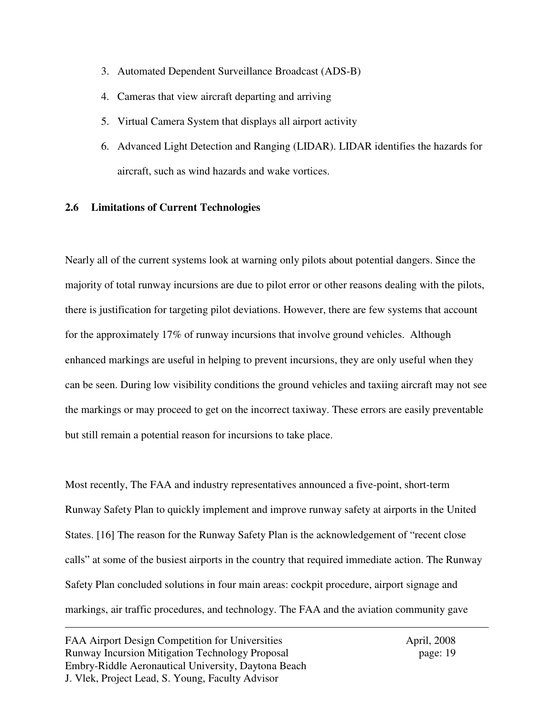- 3. Automated Dependent Surveillance Broadcast (ADS-B)
- 4. Cameras that view aircraft departing and arriving
- 5. Virtual Camera System that displays all airport activity
- 6. Advanced Light Detection and Ranging (LIDAR). LIDAR identifies the hazards for aircraft, such as wind hazards and wake vortices.

### **2.6 Limitations of Current Technologies**

Nearly all of the current systems look at warning only pilots about potential dangers. Since the majority of total runway incursions are due to pilot error or other reasons dealing with the pilots, there is justification for targeting pilot deviations. However, there are few systems that account for the approximately 17% of runway incursions that involve ground vehicles. Although enhanced markings are useful in helping to prevent incursions, they are only useful when they can be seen. During low visibility conditions the ground vehicles and taxiing aircraft may not see the markings or may proceed to get on the incorrect taxiway. These errors are easily preventable but still remain a potential reason for incursions to take place.

Most recently, The FAA and industry representatives announced a five-point, short-term Runway Safety Plan to quickly implement and improve runway safety at airports in the United States. [16] The reason for the Runway Safety Plan is the acknowledgement of "recent close calls" at some of the busiest airports in the country that required immediate action. The Runway Safety Plan concluded solutions in four main areas: cockpit procedure, airport signage and markings, air traffic procedures, and technology. The FAA and the aviation community gave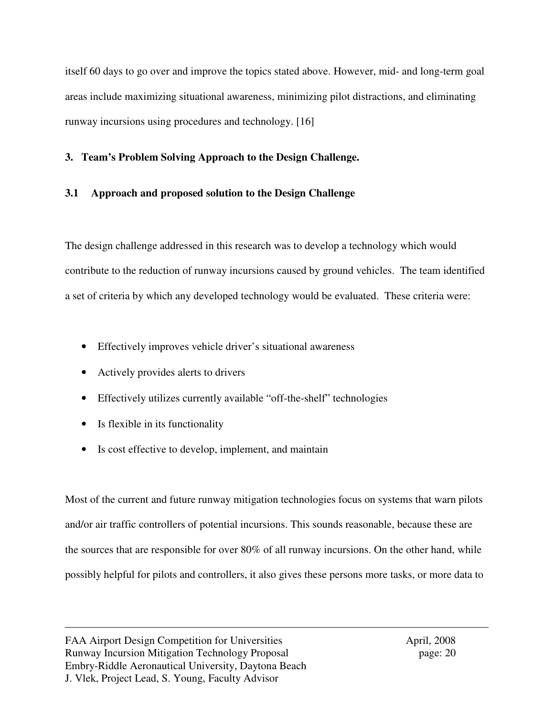itself 60 days to go over and improve the topics stated above. However, mid- and long-term goal areas include maximizing situational awareness, minimizing pilot distractions, and eliminating runway incursions using procedures and technology. [16]

## **3. Team's Problem Solving Approach to the Design Challenge.**

# **3.1 Approach and proposed solution to the Design Challenge**

The design challenge addressed in this research was to develop a technology which would contribute to the reduction of runway incursions caused by ground vehicles. The team identified a set of criteria by which any developed technology would be evaluated. These criteria were:

- Effectively improves vehicle driver's situational awareness
- Actively provides alerts to drivers
- Effectively utilizes currently available "off-the-shelf" technologies
- Is flexible in its functionality
- Is cost effective to develop, implement, and maintain

Most of the current and future runway mitigation technologies focus on systems that warn pilots and/or air traffic controllers of potential incursions. This sounds reasonable, because these are the sources that are responsible for over 80% of all runway incursions. On the other hand, while possibly helpful for pilots and controllers, it also gives these persons more tasks, or more data to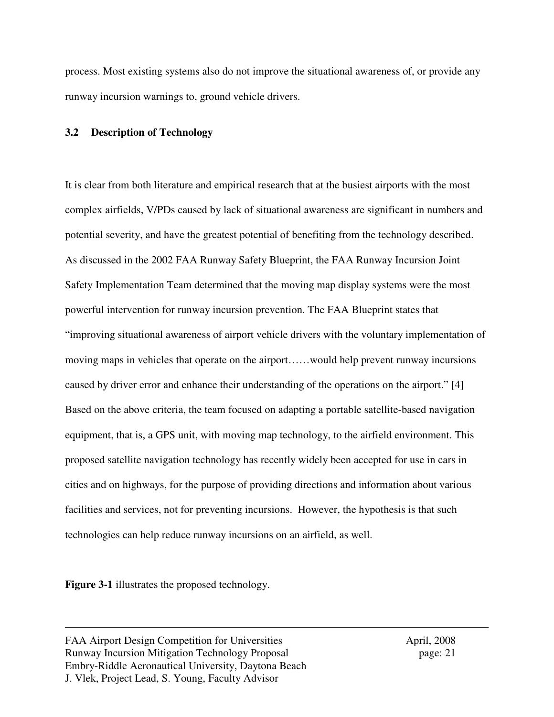process. Most existing systems also do not improve the situational awareness of, or provide any runway incursion warnings to, ground vehicle drivers.

### **3.2 Description of Technology**

It is clear from both literature and empirical research that at the busiest airports with the most complex airfields, V/PDs caused by lack of situational awareness are significant in numbers and potential severity, and have the greatest potential of benefiting from the technology described. As discussed in the 2002 FAA Runway Safety Blueprint, the FAA Runway Incursion Joint Safety Implementation Team determined that the moving map display systems were the most powerful intervention for runway incursion prevention. The FAA Blueprint states that "improving situational awareness of airport vehicle drivers with the voluntary implementation of moving maps in vehicles that operate on the airport……would help prevent runway incursions caused by driver error and enhance their understanding of the operations on the airport." [4] Based on the above criteria, the team focused on adapting a portable satellite-based navigation equipment, that is, a GPS unit, with moving map technology, to the airfield environment. This proposed satellite navigation technology has recently widely been accepted for use in cars in cities and on highways, for the purpose of providing directions and information about various facilities and services, not for preventing incursions. However, the hypothesis is that such technologies can help reduce runway incursions on an airfield, as well.

**Figure 3-1** illustrates the proposed technology.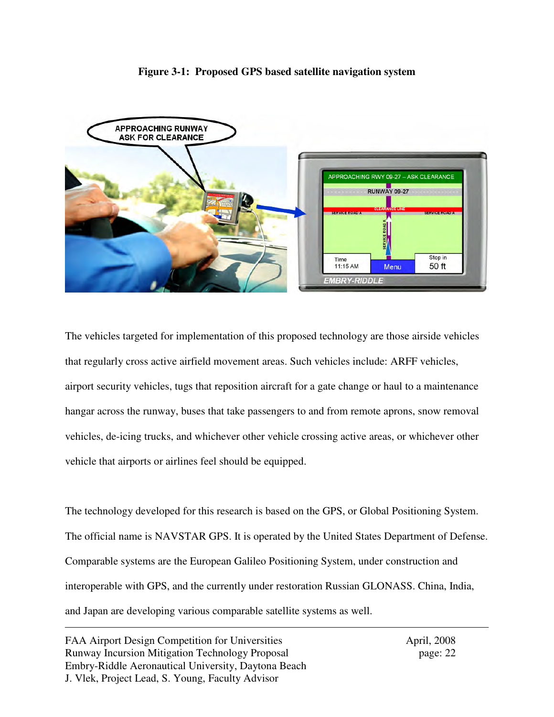### **Figure 3-1: Proposed GPS based satellite navigation system**



The vehicles targeted for implementation of this proposed technology are those airside vehicles that regularly cross active airfield movement areas. Such vehicles include: ARFF vehicles, airport security vehicles, tugs that reposition aircraft for a gate change or haul to a maintenance hangar across the runway, buses that take passengers to and from remote aprons, snow removal vehicles, de-icing trucks, and whichever other vehicle crossing active areas, or whichever other vehicle that airports or airlines feel should be equipped.

The technology developed for this research is based on the GPS, or Global Positioning System. The official name is NAVSTAR GPS. It is operated by the United States Department of Defense. Comparable systems are the European Galileo Positioning System, under construction and interoperable with GPS, and the currently under restoration Russian GLONASS. China, India, and Japan are developing various comparable satellite systems as well.

FAA Airport Design Competition for Universities April, 2008 Runway Incursion Mitigation Technology Proposal page: 22 Embry-Riddle Aeronautical University, Daytona Beach J. Vlek, Project Lead, S. Young, Faculty Advisor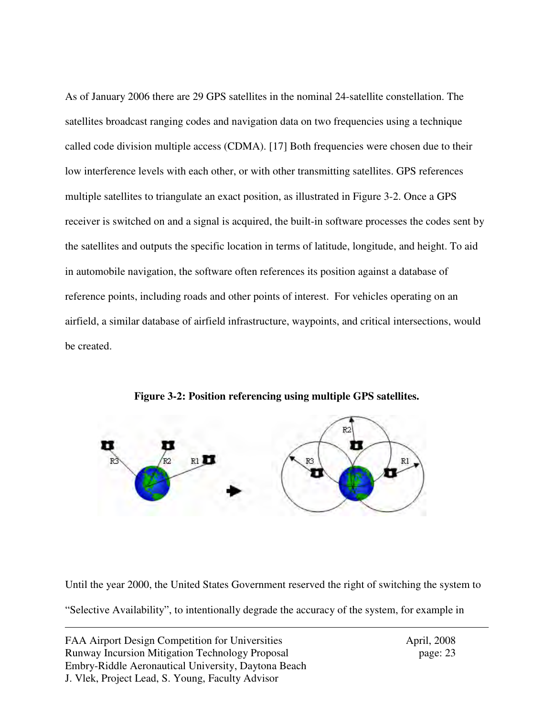As of January 2006 there are 29 GPS satellites in the nominal 24-satellite constellation. The satellites broadcast ranging codes and navigation data on two frequencies using a technique called code division multiple access (CDMA). [17] Both frequencies were chosen due to their low interference levels with each other, or with other transmitting satellites. GPS references multiple satellites to triangulate an exact position, as illustrated in Figure 3-2. Once a GPS receiver is switched on and a signal is acquired, the built-in software processes the codes sent by the satellites and outputs the specific location in terms of latitude, longitude, and height. To aid in automobile navigation, the software often references its position against a database of reference points, including roads and other points of interest. For vehicles operating on an airfield, a similar database of airfield infrastructure, waypoints, and critical intersections, would be created.



**Figure 3-2: Position referencing using multiple GPS satellites.** 

Until the year 2000, the United States Government reserved the right of switching the system to "Selective Availability", to intentionally degrade the accuracy of the system, for example in

FAA Airport Design Competition for Universities April, 2008 Runway Incursion Mitigation Technology Proposal page: 23 Embry-Riddle Aeronautical University, Daytona Beach J. Vlek, Project Lead, S. Young, Faculty Advisor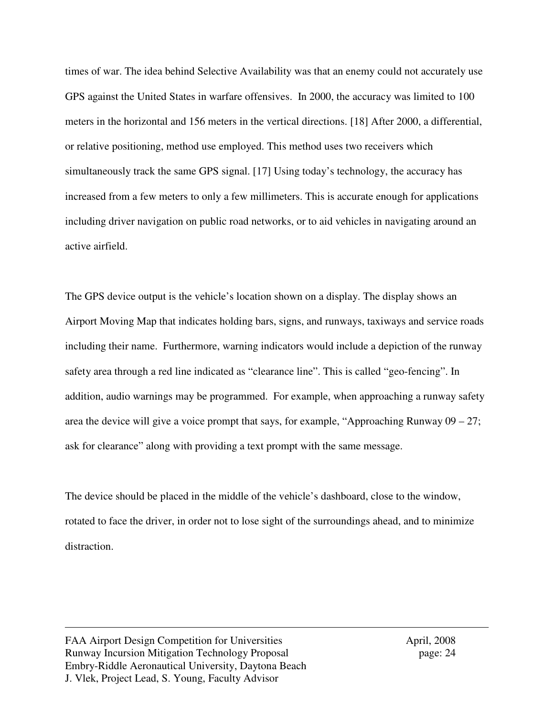times of war. The idea behind Selective Availability was that an enemy could not accurately use GPS against the United States in warfare offensives. In 2000, the accuracy was limited to 100 meters in the horizontal and 156 meters in the vertical directions. [18] After 2000, a differential, or relative positioning, method use employed. This method uses two receivers which simultaneously track the same GPS signal. [17] Using today's technology, the accuracy has increased from a few meters to only a few millimeters. This is accurate enough for applications including driver navigation on public road networks, or to aid vehicles in navigating around an active airfield.

The GPS device output is the vehicle's location shown on a display. The display shows an Airport Moving Map that indicates holding bars, signs, and runways, taxiways and service roads including their name. Furthermore, warning indicators would include a depiction of the runway safety area through a red line indicated as "clearance line". This is called "geo-fencing". In addition, audio warnings may be programmed. For example, when approaching a runway safety area the device will give a voice prompt that says, for example, "Approaching Runway  $09 - 27$ ; ask for clearance" along with providing a text prompt with the same message.

The device should be placed in the middle of the vehicle's dashboard, close to the window, rotated to face the driver, in order not to lose sight of the surroundings ahead, and to minimize distraction.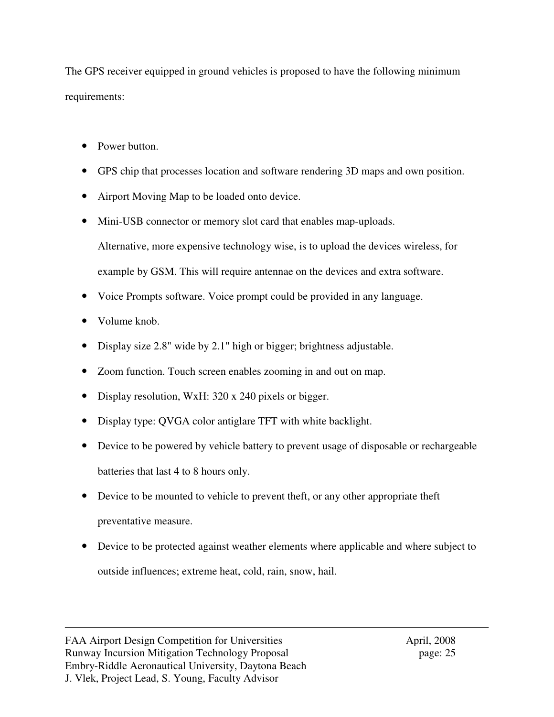The GPS receiver equipped in ground vehicles is proposed to have the following minimum requirements:

- Power button.
- GPS chip that processes location and software rendering 3D maps and own position.
- Airport Moving Map to be loaded onto device.
- Mini-USB connector or memory slot card that enables map-uploads. Alternative, more expensive technology wise, is to upload the devices wireless, for example by GSM. This will require antennae on the devices and extra software.
- Voice Prompts software. Voice prompt could be provided in any language.
- Volume knob.
- Display size 2.8" wide by 2.1" high or bigger; brightness adjustable.
- Zoom function. Touch screen enables zooming in and out on map.
- Display resolution, WxH: 320 x 240 pixels or bigger.
- Display type: QVGA color antiglare TFT with white backlight.
- Device to be powered by vehicle battery to prevent usage of disposable or rechargeable batteries that last 4 to 8 hours only.
- Device to be mounted to vehicle to prevent theft, or any other appropriate theft preventative measure.
- Device to be protected against weather elements where applicable and where subject to outside influences; extreme heat, cold, rain, snow, hail.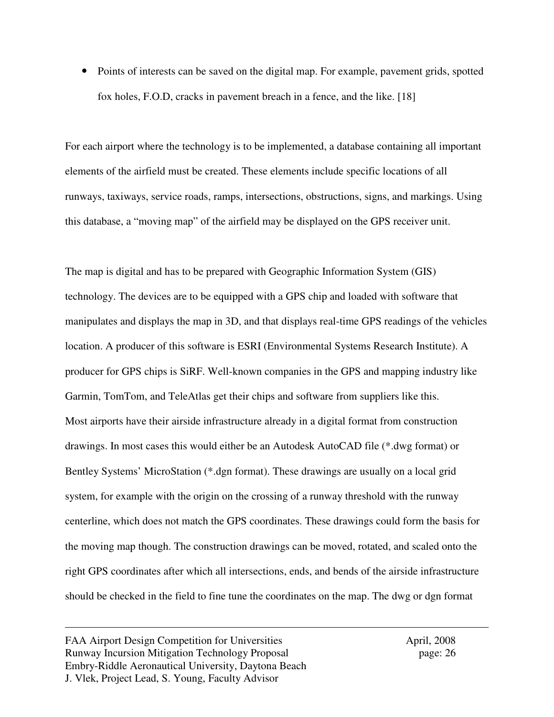Points of interests can be saved on the digital map. For example, pavement grids, spotted fox holes, F.O.D, cracks in pavement breach in a fence, and the like. [18]

For each airport where the technology is to be implemented, a database containing all important elements of the airfield must be created. These elements include specific locations of all runways, taxiways, service roads, ramps, intersections, obstructions, signs, and markings. Using this database, a "moving map" of the airfield may be displayed on the GPS receiver unit.

The map is digital and has to be prepared with Geographic Information System (GIS) technology. The devices are to be equipped with a GPS chip and loaded with software that manipulates and displays the map in 3D, and that displays real-time GPS readings of the vehicles location. A producer of this software is ESRI (Environmental Systems Research Institute). A producer for GPS chips is SiRF. Well-known companies in the GPS and mapping industry like Garmin, TomTom, and TeleAtlas get their chips and software from suppliers like this. Most airports have their airside infrastructure already in a digital format from construction drawings. In most cases this would either be an Autodesk AutoCAD file (\*.dwg format) or Bentley Systems' MicroStation (\*.dgn format). These drawings are usually on a local grid system, for example with the origin on the crossing of a runway threshold with the runway centerline, which does not match the GPS coordinates. These drawings could form the basis for the moving map though. The construction drawings can be moved, rotated, and scaled onto the right GPS coordinates after which all intersections, ends, and bends of the airside infrastructure should be checked in the field to fine tune the coordinates on the map. The dwg or dgn format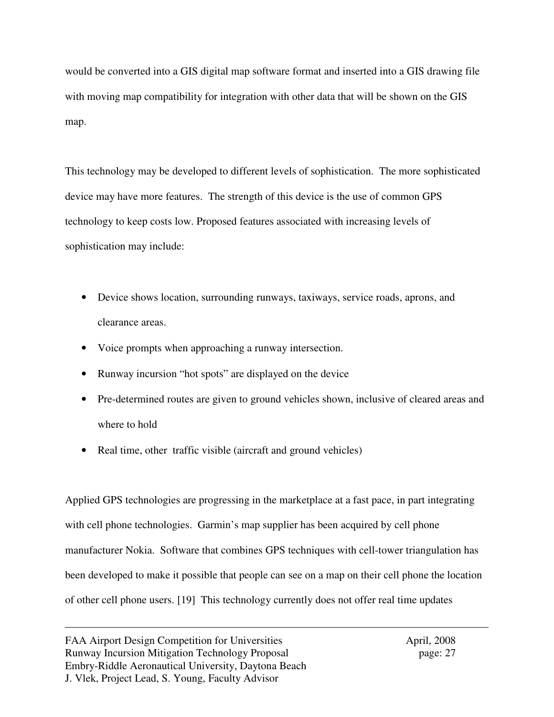would be converted into a GIS digital map software format and inserted into a GIS drawing file with moving map compatibility for integration with other data that will be shown on the GIS map.

This technology may be developed to different levels of sophistication. The more sophisticated device may have more features. The strength of this device is the use of common GPS technology to keep costs low. Proposed features associated with increasing levels of sophistication may include:

- Device shows location, surrounding runways, taxiways, service roads, aprons, and clearance areas.
- Voice prompts when approaching a runway intersection.
- Runway incursion "hot spots" are displayed on the device
- Pre-determined routes are given to ground vehicles shown, inclusive of cleared areas and where to hold
- Real time, other traffic visible (aircraft and ground vehicles)

Applied GPS technologies are progressing in the marketplace at a fast pace, in part integrating with cell phone technologies. Garmin's map supplier has been acquired by cell phone manufacturer Nokia. Software that combines GPS techniques with cell-tower triangulation has been developed to make it possible that people can see on a map on their cell phone the location of other cell phone users. [19] This technology currently does not offer real time updates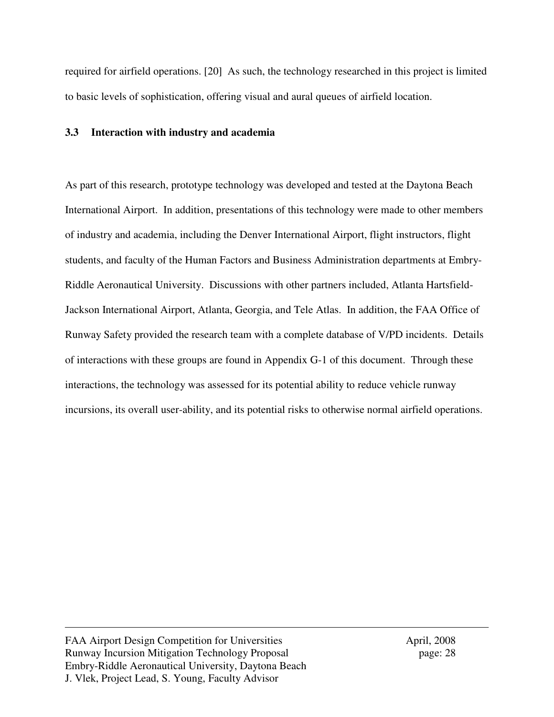required for airfield operations. [20] As such, the technology researched in this project is limited to basic levels of sophistication, offering visual and aural queues of airfield location.

### **3.3 Interaction with industry and academia**

As part of this research, prototype technology was developed and tested at the Daytona Beach International Airport. In addition, presentations of this technology were made to other members of industry and academia, including the Denver International Airport, flight instructors, flight students, and faculty of the Human Factors and Business Administration departments at Embry-Riddle Aeronautical University. Discussions with other partners included, Atlanta Hartsfield-Jackson International Airport, Atlanta, Georgia, and Tele Atlas. In addition, the FAA Office of Runway Safety provided the research team with a complete database of V/PD incidents. Details of interactions with these groups are found in Appendix G-1 of this document. Through these interactions, the technology was assessed for its potential ability to reduce vehicle runway incursions, its overall user-ability, and its potential risks to otherwise normal airfield operations.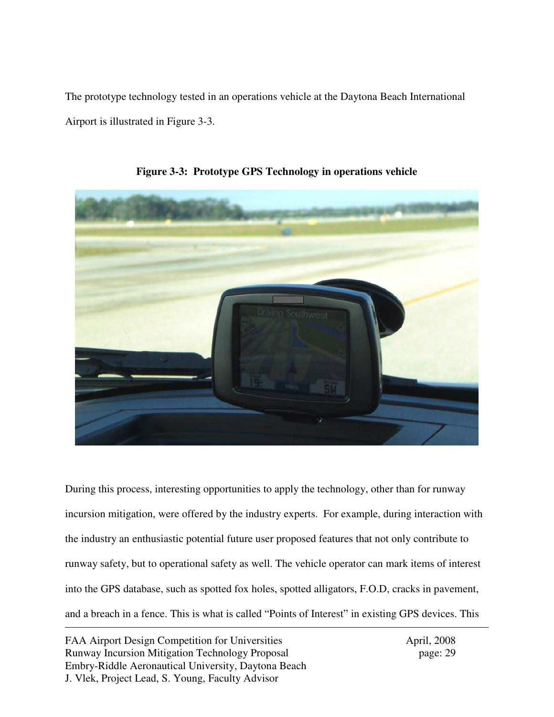The prototype technology tested in an operations vehicle at the Daytona Beach International Airport is illustrated in Figure 3-3.



**Figure 3-3: Prototype GPS Technology in operations vehicle** 

During this process, interesting opportunities to apply the technology, other than for runway incursion mitigation, were offered by the industry experts. For example, during interaction with the industry an enthusiastic potential future user proposed features that not only contribute to runway safety, but to operational safety as well. The vehicle operator can mark items of interest into the GPS database, such as spotted fox holes, spotted alligators, F.O.D, cracks in pavement, and a breach in a fence. This is what is called "Points of Interest" in existing GPS devices. This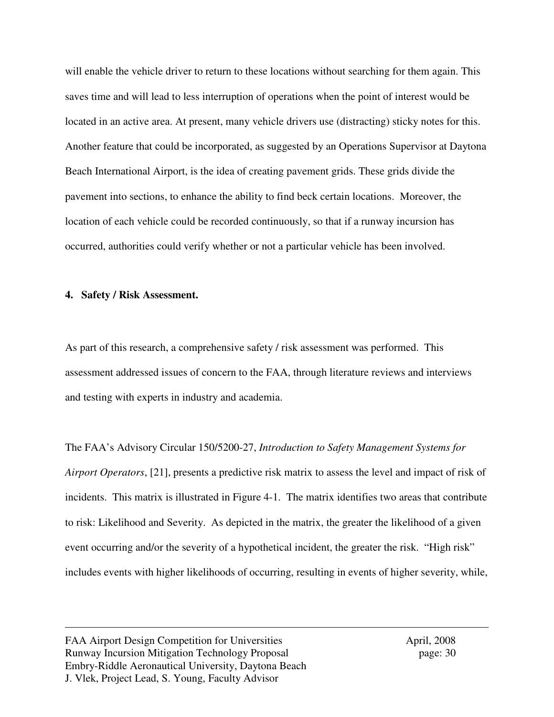will enable the vehicle driver to return to these locations without searching for them again. This saves time and will lead to less interruption of operations when the point of interest would be located in an active area. At present, many vehicle drivers use (distracting) sticky notes for this. Another feature that could be incorporated, as suggested by an Operations Supervisor at Daytona Beach International Airport, is the idea of creating pavement grids. These grids divide the pavement into sections, to enhance the ability to find beck certain locations. Moreover, the location of each vehicle could be recorded continuously, so that if a runway incursion has occurred, authorities could verify whether or not a particular vehicle has been involved.

#### **4. Safety / Risk Assessment.**

As part of this research, a comprehensive safety / risk assessment was performed. This assessment addressed issues of concern to the FAA, through literature reviews and interviews and testing with experts in industry and academia.

The FAA's Advisory Circular 150/5200-27, *Introduction to Safety Management Systems for Airport Operators*, [21], presents a predictive risk matrix to assess the level and impact of risk of incidents. This matrix is illustrated in Figure 4-1. The matrix identifies two areas that contribute to risk: Likelihood and Severity. As depicted in the matrix, the greater the likelihood of a given event occurring and/or the severity of a hypothetical incident, the greater the risk. "High risk" includes events with higher likelihoods of occurring, resulting in events of higher severity, while,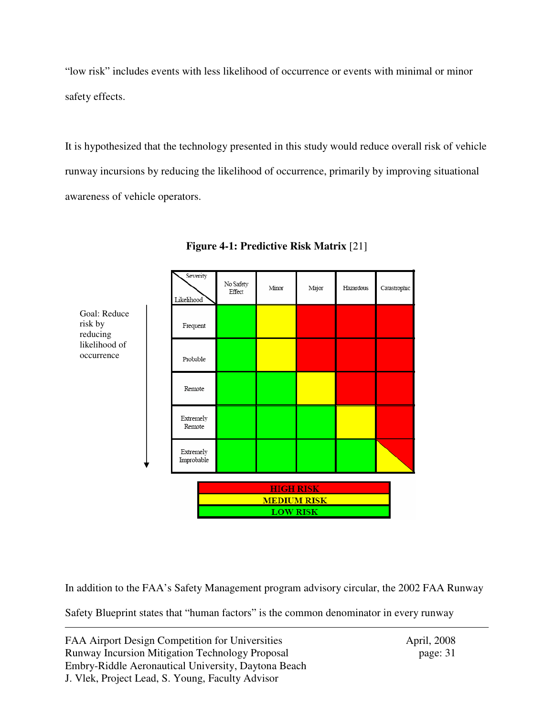"low risk" includes events with less likelihood of occurrence or events with minimal or minor safety effects.

It is hypothesized that the technology presented in this study would reduce overall risk of vehicle runway incursions by reducing the likelihood of occurrence, primarily by improving situational awareness of vehicle operators.



**Figure 4-1: Predictive Risk Matrix** [21]

In addition to the FAA's Safety Management program advisory circular, the 2002 FAA Runway

Safety Blueprint states that "human factors" is the common denominator in every runway

FAA Airport Design Competition for Universities April, 2008 Runway Incursion Mitigation Technology Proposal page: 31 Embry-Riddle Aeronautical University, Daytona Beach J. Vlek, Project Lead, S. Young, Faculty Advisor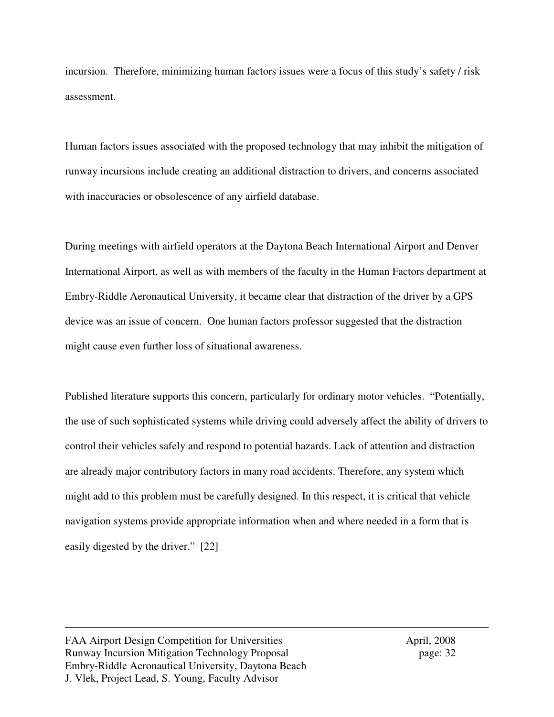incursion. Therefore, minimizing human factors issues were a focus of this study's safety / risk assessment.

Human factors issues associated with the proposed technology that may inhibit the mitigation of runway incursions include creating an additional distraction to drivers, and concerns associated with inaccuracies or obsolescence of any airfield database.

During meetings with airfield operators at the Daytona Beach International Airport and Denver International Airport, as well as with members of the faculty in the Human Factors department at Embry-Riddle Aeronautical University, it became clear that distraction of the driver by a GPS device was an issue of concern. One human factors professor suggested that the distraction might cause even further loss of situational awareness.

Published literature supports this concern, particularly for ordinary motor vehicles. "Potentially, the use of such sophisticated systems while driving could adversely affect the ability of drivers to control their vehicles safely and respond to potential hazards. Lack of attention and distraction are already major contributory factors in many road accidents. Therefore, any system which might add to this problem must be carefully designed. In this respect, it is critical that vehicle navigation systems provide appropriate information when and where needed in a form that is easily digested by the driver." [22]

FAA Airport Design Competition for Universities April, 2008 Runway Incursion Mitigation Technology Proposal page: 32 Embry-Riddle Aeronautical University, Daytona Beach J. Vlek, Project Lead, S. Young, Faculty Advisor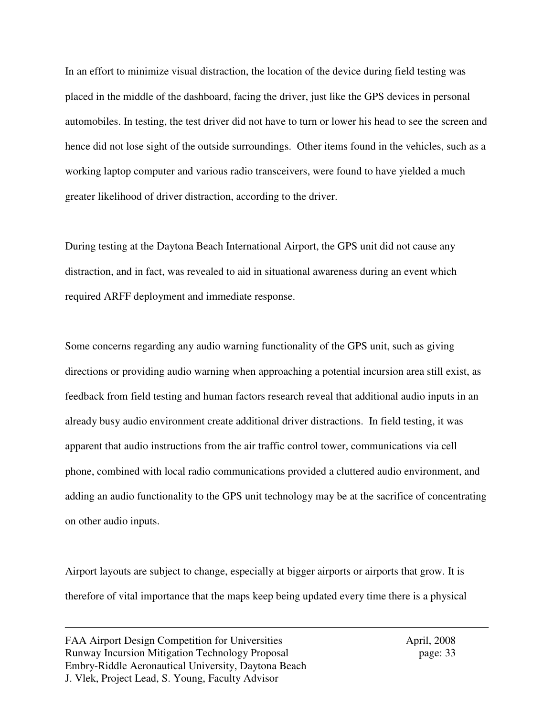In an effort to minimize visual distraction, the location of the device during field testing was placed in the middle of the dashboard, facing the driver, just like the GPS devices in personal automobiles. In testing, the test driver did not have to turn or lower his head to see the screen and hence did not lose sight of the outside surroundings. Other items found in the vehicles, such as a working laptop computer and various radio transceivers, were found to have yielded a much greater likelihood of driver distraction, according to the driver.

During testing at the Daytona Beach International Airport, the GPS unit did not cause any distraction, and in fact, was revealed to aid in situational awareness during an event which required ARFF deployment and immediate response.

Some concerns regarding any audio warning functionality of the GPS unit, such as giving directions or providing audio warning when approaching a potential incursion area still exist, as feedback from field testing and human factors research reveal that additional audio inputs in an already busy audio environment create additional driver distractions. In field testing, it was apparent that audio instructions from the air traffic control tower, communications via cell phone, combined with local radio communications provided a cluttered audio environment, and adding an audio functionality to the GPS unit technology may be at the sacrifice of concentrating on other audio inputs.

Airport layouts are subject to change, especially at bigger airports or airports that grow. It is therefore of vital importance that the maps keep being updated every time there is a physical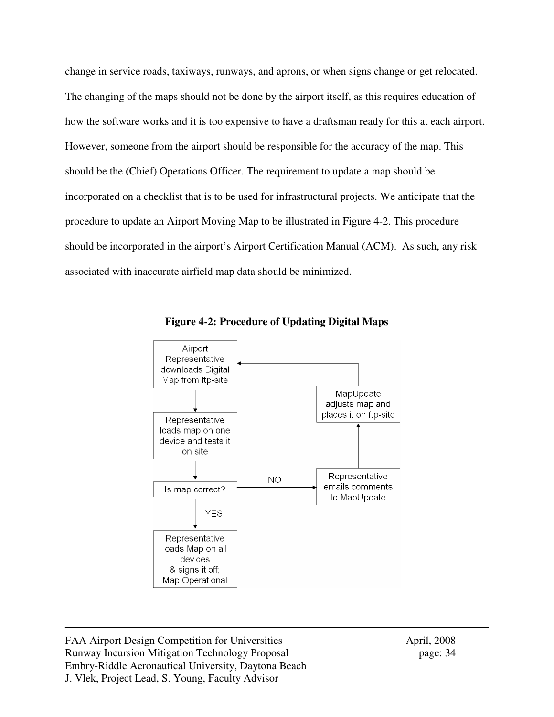change in service roads, taxiways, runways, and aprons, or when signs change or get relocated. The changing of the maps should not be done by the airport itself, as this requires education of how the software works and it is too expensive to have a draftsman ready for this at each airport. However, someone from the airport should be responsible for the accuracy of the map. This should be the (Chief) Operations Officer. The requirement to update a map should be incorporated on a checklist that is to be used for infrastructural projects. We anticipate that the procedure to update an Airport Moving Map to be illustrated in Figure 4-2. This procedure should be incorporated in the airport's Airport Certification Manual (ACM). As such, any risk associated with inaccurate airfield map data should be minimized.



**Figure 4-2: Procedure of Updating Digital Maps** 

FAA Airport Design Competition for Universities April, 2008 Runway Incursion Mitigation Technology Proposal page: 34 Embry-Riddle Aeronautical University, Daytona Beach J. Vlek, Project Lead, S. Young, Faculty Advisor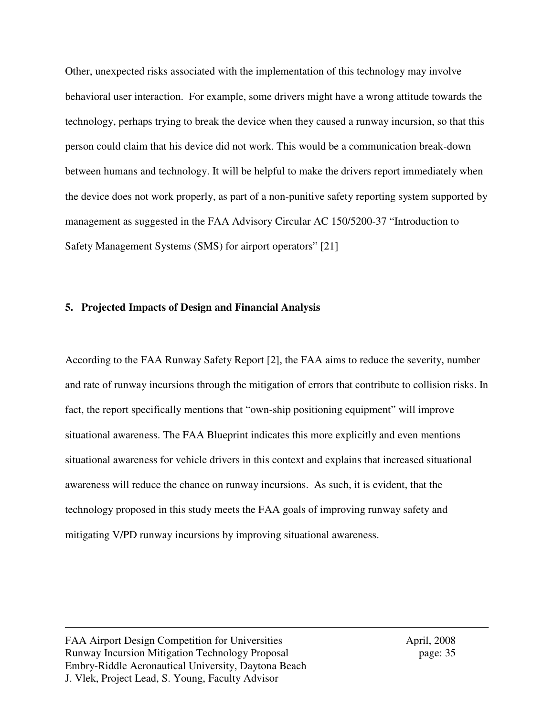Other, unexpected risks associated with the implementation of this technology may involve behavioral user interaction. For example, some drivers might have a wrong attitude towards the technology, perhaps trying to break the device when they caused a runway incursion, so that this person could claim that his device did not work. This would be a communication break-down between humans and technology. It will be helpful to make the drivers report immediately when the device does not work properly, as part of a non-punitive safety reporting system supported by management as suggested in the FAA Advisory Circular AC 150/5200-37 "Introduction to Safety Management Systems (SMS) for airport operators" [21]

### **5. Projected Impacts of Design and Financial Analysis**

According to the FAA Runway Safety Report [2], the FAA aims to reduce the severity, number and rate of runway incursions through the mitigation of errors that contribute to collision risks. In fact, the report specifically mentions that "own-ship positioning equipment" will improve situational awareness. The FAA Blueprint indicates this more explicitly and even mentions situational awareness for vehicle drivers in this context and explains that increased situational awareness will reduce the chance on runway incursions. As such, it is evident, that the technology proposed in this study meets the FAA goals of improving runway safety and mitigating V/PD runway incursions by improving situational awareness.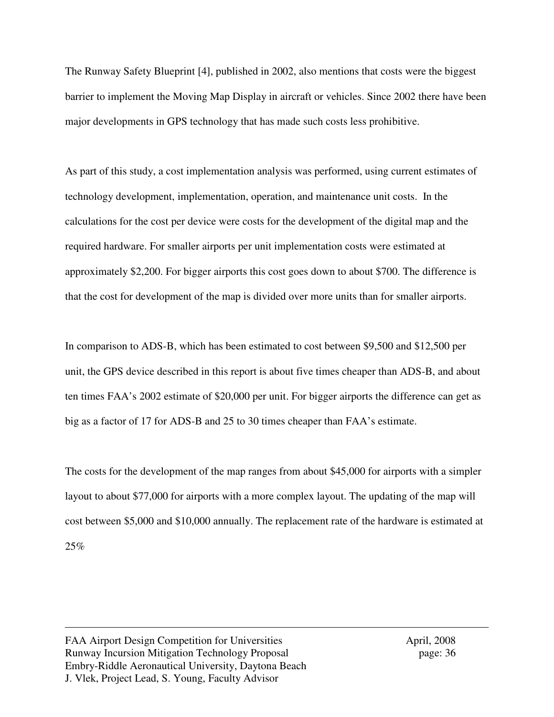The Runway Safety Blueprint [4], published in 2002, also mentions that costs were the biggest barrier to implement the Moving Map Display in aircraft or vehicles. Since 2002 there have been major developments in GPS technology that has made such costs less prohibitive.

As part of this study, a cost implementation analysis was performed, using current estimates of technology development, implementation, operation, and maintenance unit costs. In the calculations for the cost per device were costs for the development of the digital map and the required hardware. For smaller airports per unit implementation costs were estimated at approximately \$2,200. For bigger airports this cost goes down to about \$700. The difference is that the cost for development of the map is divided over more units than for smaller airports.

In comparison to ADS-B, which has been estimated to cost between \$9,500 and \$12,500 per unit, the GPS device described in this report is about five times cheaper than ADS-B, and about ten times FAA's 2002 estimate of \$20,000 per unit. For bigger airports the difference can get as big as a factor of 17 for ADS-B and 25 to 30 times cheaper than FAA's estimate.

The costs for the development of the map ranges from about \$45,000 for airports with a simpler layout to about \$77,000 for airports with a more complex layout. The updating of the map will cost between \$5,000 and \$10,000 annually. The replacement rate of the hardware is estimated at 25%

FAA Airport Design Competition for Universities April, 2008 Runway Incursion Mitigation Technology Proposal page: 36 Embry-Riddle Aeronautical University, Daytona Beach J. Vlek, Project Lead, S. Young, Faculty Advisor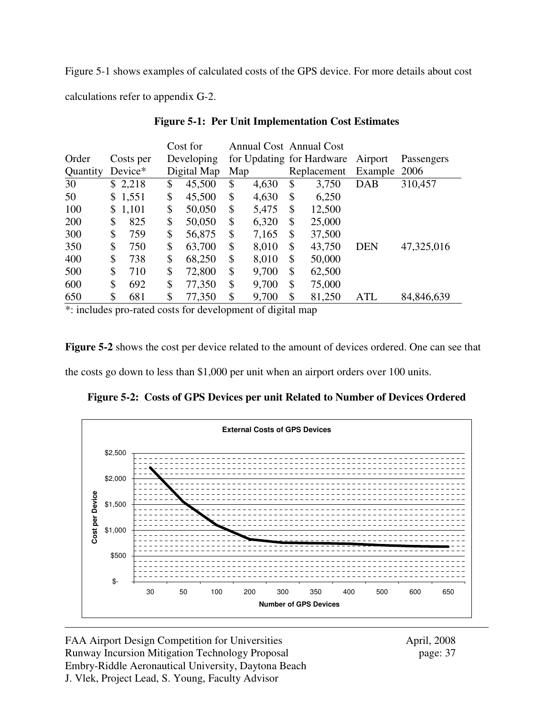Figure 5-1 shows examples of calculated costs of the GPS device. For more details about cost calculations refer to appendix G-2.

|          |           | Cost for     |     |       | <b>Annual Cost Annual Cost</b> |              |            |
|----------|-----------|--------------|-----|-------|--------------------------------|--------------|------------|
| Order    | Costs per | Developing   |     |       | for Updating for Hardware      | Airport      | Passengers |
| Quantity | Device*   | Digital Map  | Map |       | Replacement                    | Example 2006 |            |
| 30       | \$2,218   | \$<br>45,500 | \$  | 4,630 | \$<br>3,750                    | <b>DAB</b>   | 310,457    |
| 50       | \$1,551   | \$<br>45,500 | \$  | 4,630 | \$<br>6,250                    |              |            |
| 100      | \$1,101   | \$<br>50,050 | \$  | 5,475 | \$<br>12,500                   |              |            |
| 200      | \$<br>825 | \$<br>50,050 | \$  | 6,320 | \$<br>25,000                   |              |            |
| 300      | \$<br>759 | \$<br>56,875 | \$  | 7,165 | \$<br>37,500                   |              |            |
| 350      | \$<br>750 | \$<br>63,700 | \$  | 8,010 | \$<br>43,750                   | <b>DEN</b>   | 47,325,016 |
| 400      | \$<br>738 | \$<br>68,250 | \$  | 8,010 | \$<br>50,000                   |              |            |
| 500      | \$<br>710 | \$<br>72,800 | \$  | 9,700 | \$<br>62,500                   |              |            |
| 600      | \$<br>692 | \$<br>77,350 | \$  | 9,700 | \$<br>75,000                   |              |            |
| 650      | \$<br>681 | \$<br>77,350 | \$  | 9,700 | \$<br>81,250                   | ATL          | 84,846,639 |

**Figure 5-1: Per Unit Implementation Cost Estimates** 

\*: includes pro-rated costs for development of digital map

**Figure 5-2** shows the cost per device related to the amount of devices ordered. One can see that

the costs go down to less than \$1,000 per unit when an airport orders over 100 units.

**Figure 5-2: Costs of GPS Devices per unit Related to Number of Devices Ordered** 



FAA Airport Design Competition for Universities April, 2008 Runway Incursion Mitigation Technology Proposal page: 37 Embry-Riddle Aeronautical University, Daytona Beach J. Vlek, Project Lead, S. Young, Faculty Advisor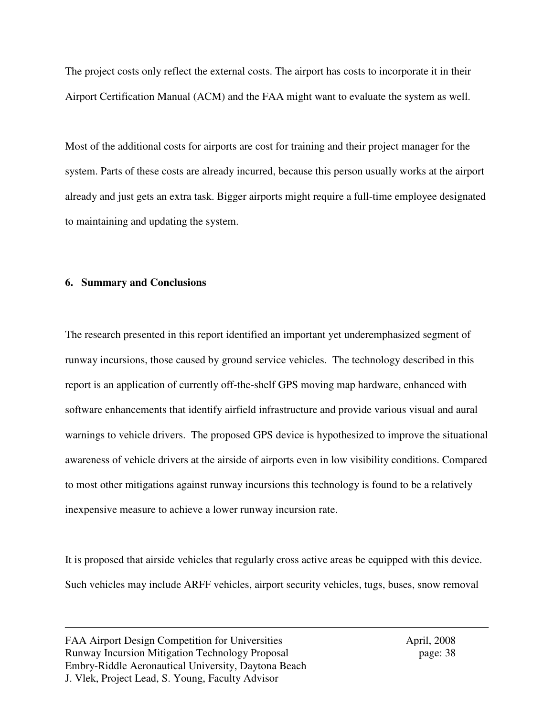The project costs only reflect the external costs. The airport has costs to incorporate it in their Airport Certification Manual (ACM) and the FAA might want to evaluate the system as well.

Most of the additional costs for airports are cost for training and their project manager for the system. Parts of these costs are already incurred, because this person usually works at the airport already and just gets an extra task. Bigger airports might require a full-time employee designated to maintaining and updating the system.

### **6. Summary and Conclusions**

The research presented in this report identified an important yet underemphasized segment of runway incursions, those caused by ground service vehicles. The technology described in this report is an application of currently off-the-shelf GPS moving map hardware, enhanced with software enhancements that identify airfield infrastructure and provide various visual and aural warnings to vehicle drivers. The proposed GPS device is hypothesized to improve the situational awareness of vehicle drivers at the airside of airports even in low visibility conditions. Compared to most other mitigations against runway incursions this technology is found to be a relatively inexpensive measure to achieve a lower runway incursion rate.

It is proposed that airside vehicles that regularly cross active areas be equipped with this device. Such vehicles may include ARFF vehicles, airport security vehicles, tugs, buses, snow removal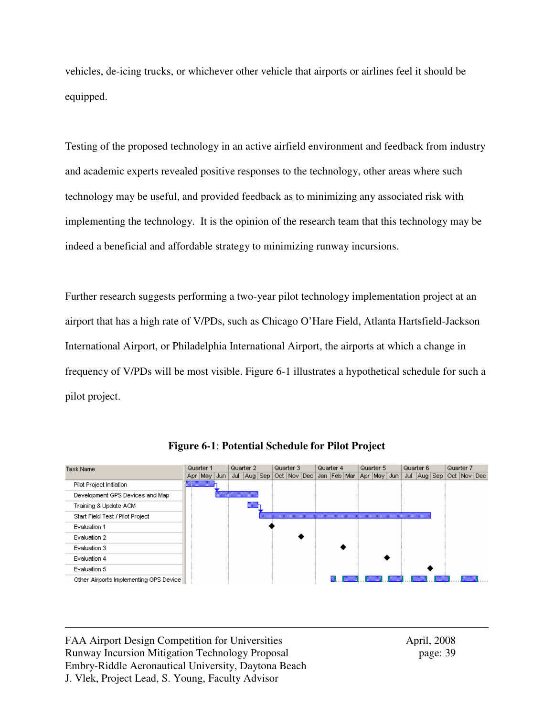vehicles, de-icing trucks, or whichever other vehicle that airports or airlines feel it should be equipped.

Testing of the proposed technology in an active airfield environment and feedback from industry and academic experts revealed positive responses to the technology, other areas where such technology may be useful, and provided feedback as to minimizing any associated risk with implementing the technology. It is the opinion of the research team that this technology may be indeed a beneficial and affordable strategy to minimizing runway incursions.

Further research suggests performing a two-year pilot technology implementation project at an airport that has a high rate of V/PDs, such as Chicago O'Hare Field, Atlanta Hartsfield-Jackson International Airport, or Philadelphia International Airport, the airports at which a change in frequency of V/PDs will be most visible. Figure 6-1 illustrates a hypothetical schedule for such a pilot project.



**Figure 6-1**: **Potential Schedule for Pilot Project**

FAA Airport Design Competition for Universities April, 2008 Runway Incursion Mitigation Technology Proposal page: 39 Embry-Riddle Aeronautical University, Daytona Beach J. Vlek, Project Lead, S. Young, Faculty Advisor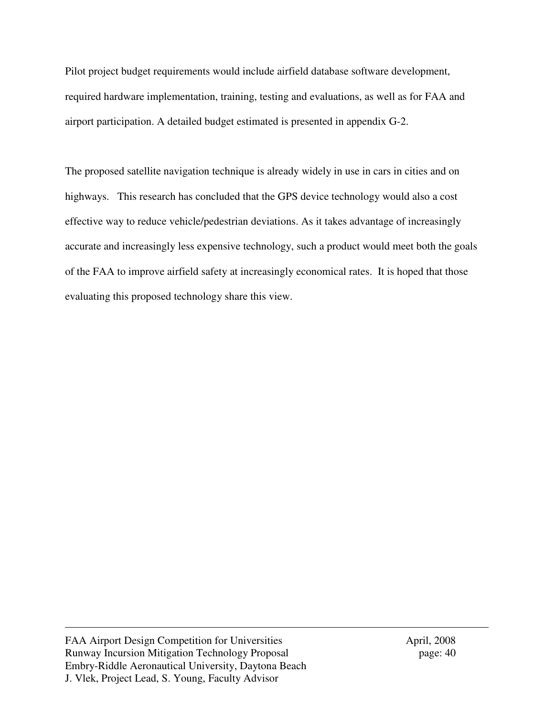Pilot project budget requirements would include airfield database software development, required hardware implementation, training, testing and evaluations, as well as for FAA and airport participation. A detailed budget estimated is presented in appendix G-2.

The proposed satellite navigation technique is already widely in use in cars in cities and on highways. This research has concluded that the GPS device technology would also a cost effective way to reduce vehicle/pedestrian deviations. As it takes advantage of increasingly accurate and increasingly less expensive technology, such a product would meet both the goals of the FAA to improve airfield safety at increasingly economical rates. It is hoped that those evaluating this proposed technology share this view.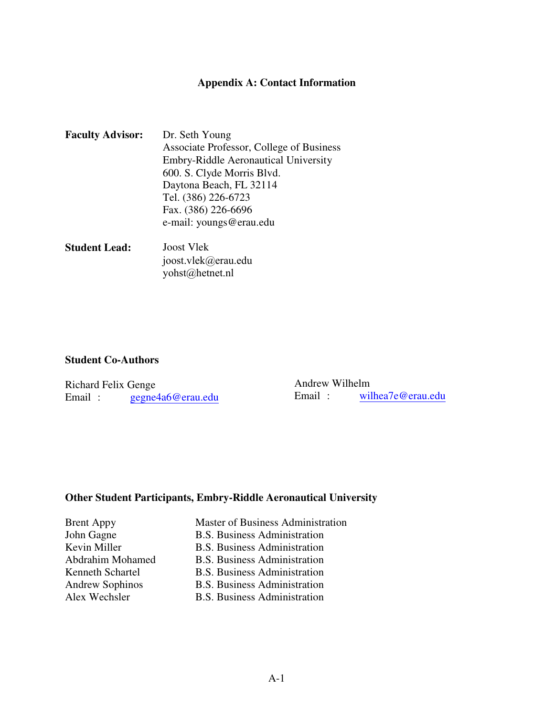## **Appendix A: Contact Information**

| <b>Faculty Advisor:</b> | Dr. Seth Young                           |
|-------------------------|------------------------------------------|
|                         | Associate Professor, College of Business |
|                         | Embry-Riddle Aeronautical University     |
|                         | 600. S. Clyde Morris Blvd.               |
|                         | Daytona Beach, FL 32114                  |
|                         | Tel. (386) 226-6723                      |
|                         | Fax. (386) 226-6696                      |
|                         | e-mail: youngs@erau.edu                  |
|                         |                                          |

**Student Lead:** Joost Vlek joost.vlek@erau.edu yohst@hetnet.nl

## **Student Co-Authors**

| Richard Felix Genge |                   |        | Andrew Wilhelm    |  |  |
|---------------------|-------------------|--------|-------------------|--|--|
| Email:              | gegne4a6@erau.edu | Email: | wilhea7e@erau.edu |  |  |

## **Other Student Participants, Embry-Riddle Aeronautical University**

| <b>Brent Appy</b>       |
|-------------------------|
| John Gagne              |
| Kevin Miller            |
| <b>Abdrahim Mohamed</b> |
| Kenneth Schartel        |
| <b>Andrew Sophinos</b>  |
| Alex Wechsler           |

Master of Business Administration **B.S. Business Administration B.S. Business Administration** d B.S. Business Administration B.S. Business Administration **B.S. Business Administration B.S. Business Administration**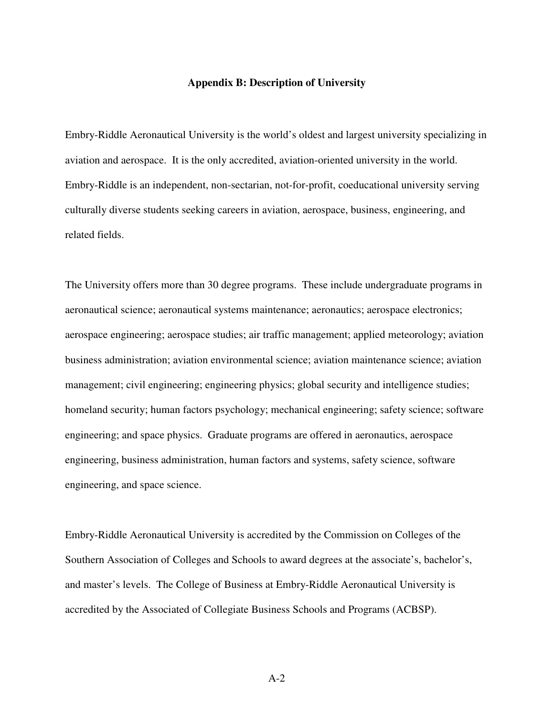#### **Appendix B: Description of University**

Embry-Riddle Aeronautical University is the world's oldest and largest university specializing in aviation and aerospace. It is the only accredited, aviation-oriented university in the world. Embry-Riddle is an independent, non-sectarian, not-for-profit, coeducational university serving culturally diverse students seeking careers in aviation, aerospace, business, engineering, and related fields.

The University offers more than 30 degree programs. These include undergraduate programs in aeronautical science; aeronautical systems maintenance; aeronautics; aerospace electronics; aerospace engineering; aerospace studies; air traffic management; applied meteorology; aviation business administration; aviation environmental science; aviation maintenance science; aviation management; civil engineering; engineering physics; global security and intelligence studies; homeland security; human factors psychology; mechanical engineering; safety science; software engineering; and space physics. Graduate programs are offered in aeronautics, aerospace engineering, business administration, human factors and systems, safety science, software engineering, and space science.

Embry-Riddle Aeronautical University is accredited by the Commission on Colleges of the Southern Association of Colleges and Schools to award degrees at the associate's, bachelor's, and master's levels. The College of Business at Embry-Riddle Aeronautical University is accredited by the Associated of Collegiate Business Schools and Programs (ACBSP).

A-2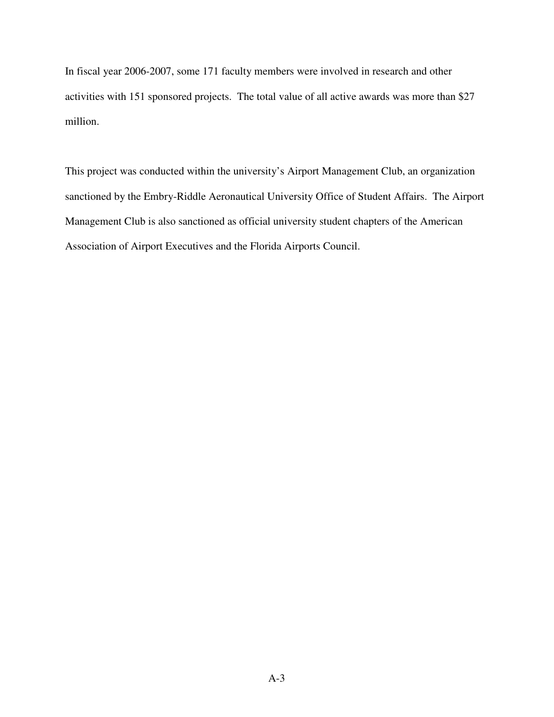In fiscal year 2006-2007, some 171 faculty members were involved in research and other activities with 151 sponsored projects. The total value of all active awards was more than \$27 million.

This project was conducted within the university's Airport Management Club, an organization sanctioned by the Embry-Riddle Aeronautical University Office of Student Affairs. The Airport Management Club is also sanctioned as official university student chapters of the American Association of Airport Executives and the Florida Airports Council.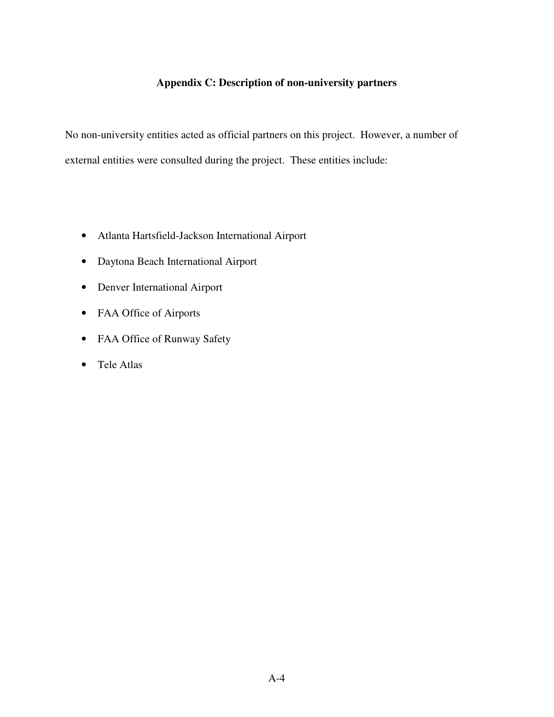# **Appendix C: Description of non-university partners**

No non-university entities acted as official partners on this project. However, a number of external entities were consulted during the project. These entities include:

- Atlanta Hartsfield-Jackson International Airport
- Daytona Beach International Airport
- Denver International Airport
- FAA Office of Airports
- FAA Office of Runway Safety
- Tele Atlas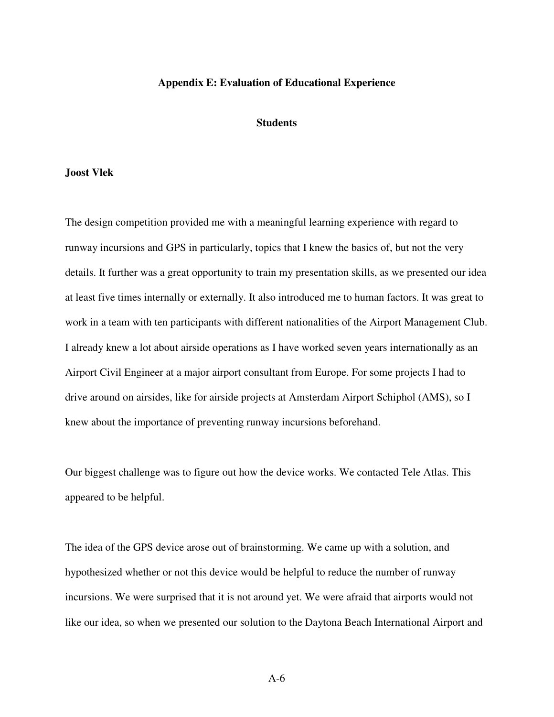#### **Appendix E: Evaluation of Educational Experience**

#### **Students**

#### **Joost Vlek**

The design competition provided me with a meaningful learning experience with regard to runway incursions and GPS in particularly, topics that I knew the basics of, but not the very details. It further was a great opportunity to train my presentation skills, as we presented our idea at least five times internally or externally. It also introduced me to human factors. It was great to work in a team with ten participants with different nationalities of the Airport Management Club. I already knew a lot about airside operations as I have worked seven years internationally as an Airport Civil Engineer at a major airport consultant from Europe. For some projects I had to drive around on airsides, like for airside projects at Amsterdam Airport Schiphol (AMS), so I knew about the importance of preventing runway incursions beforehand.

Our biggest challenge was to figure out how the device works. We contacted Tele Atlas. This appeared to be helpful.

The idea of the GPS device arose out of brainstorming. We came up with a solution, and hypothesized whether or not this device would be helpful to reduce the number of runway incursions. We were surprised that it is not around yet. We were afraid that airports would not like our idea, so when we presented our solution to the Daytona Beach International Airport and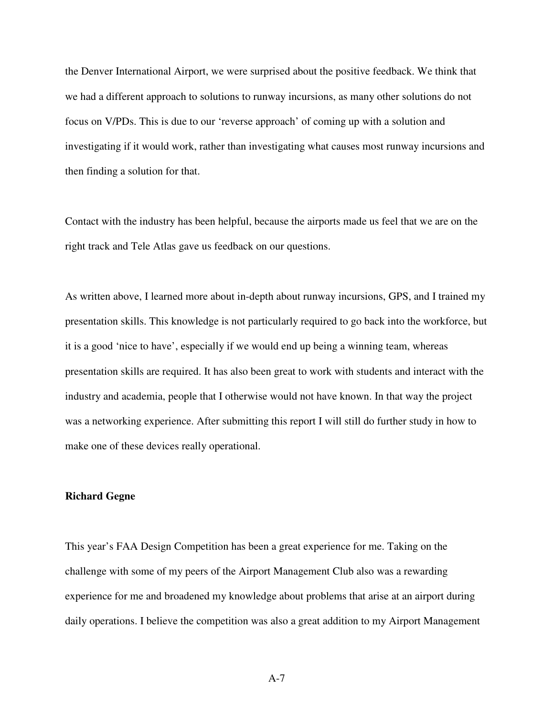the Denver International Airport, we were surprised about the positive feedback. We think that we had a different approach to solutions to runway incursions, as many other solutions do not focus on V/PDs. This is due to our 'reverse approach' of coming up with a solution and investigating if it would work, rather than investigating what causes most runway incursions and then finding a solution for that.

Contact with the industry has been helpful, because the airports made us feel that we are on the right track and Tele Atlas gave us feedback on our questions.

As written above, I learned more about in-depth about runway incursions, GPS, and I trained my presentation skills. This knowledge is not particularly required to go back into the workforce, but it is a good 'nice to have', especially if we would end up being a winning team, whereas presentation skills are required. It has also been great to work with students and interact with the industry and academia, people that I otherwise would not have known. In that way the project was a networking experience. After submitting this report I will still do further study in how to make one of these devices really operational.

### **Richard Gegne**

This year's FAA Design Competition has been a great experience for me. Taking on the challenge with some of my peers of the Airport Management Club also was a rewarding experience for me and broadened my knowledge about problems that arise at an airport during daily operations. I believe the competition was also a great addition to my Airport Management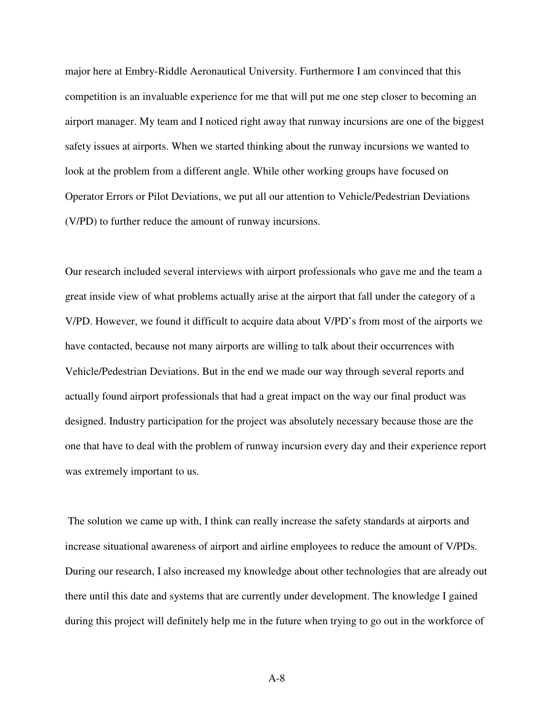major here at Embry-Riddle Aeronautical University. Furthermore I am convinced that this competition is an invaluable experience for me that will put me one step closer to becoming an airport manager. My team and I noticed right away that runway incursions are one of the biggest safety issues at airports. When we started thinking about the runway incursions we wanted to look at the problem from a different angle. While other working groups have focused on Operator Errors or Pilot Deviations, we put all our attention to Vehicle/Pedestrian Deviations (V/PD) to further reduce the amount of runway incursions.

Our research included several interviews with airport professionals who gave me and the team a great inside view of what problems actually arise at the airport that fall under the category of a V/PD. However, we found it difficult to acquire data about V/PD's from most of the airports we have contacted, because not many airports are willing to talk about their occurrences with Vehicle/Pedestrian Deviations. But in the end we made our way through several reports and actually found airport professionals that had a great impact on the way our final product was designed. Industry participation for the project was absolutely necessary because those are the one that have to deal with the problem of runway incursion every day and their experience report was extremely important to us.

 The solution we came up with, I think can really increase the safety standards at airports and increase situational awareness of airport and airline employees to reduce the amount of V/PDs. During our research, I also increased my knowledge about other technologies that are already out there until this date and systems that are currently under development. The knowledge I gained during this project will definitely help me in the future when trying to go out in the workforce of

A-8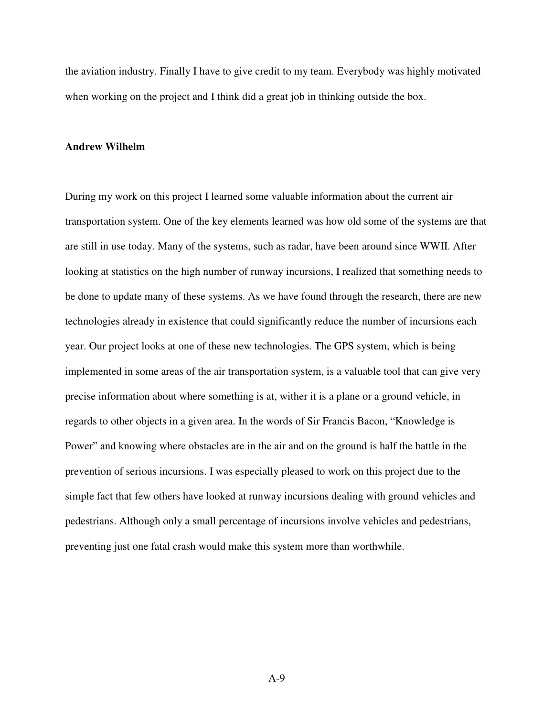the aviation industry. Finally I have to give credit to my team. Everybody was highly motivated when working on the project and I think did a great job in thinking outside the box.

#### **Andrew Wilhelm**

During my work on this project I learned some valuable information about the current air transportation system. One of the key elements learned was how old some of the systems are that are still in use today. Many of the systems, such as radar, have been around since WWII. After looking at statistics on the high number of runway incursions, I realized that something needs to be done to update many of these systems. As we have found through the research, there are new technologies already in existence that could significantly reduce the number of incursions each year. Our project looks at one of these new technologies. The GPS system, which is being implemented in some areas of the air transportation system, is a valuable tool that can give very precise information about where something is at, wither it is a plane or a ground vehicle, in regards to other objects in a given area. In the words of Sir Francis Bacon, "Knowledge is Power" and knowing where obstacles are in the air and on the ground is half the battle in the prevention of serious incursions. I was especially pleased to work on this project due to the simple fact that few others have looked at runway incursions dealing with ground vehicles and pedestrians. Although only a small percentage of incursions involve vehicles and pedestrians, preventing just one fatal crash would make this system more than worthwhile.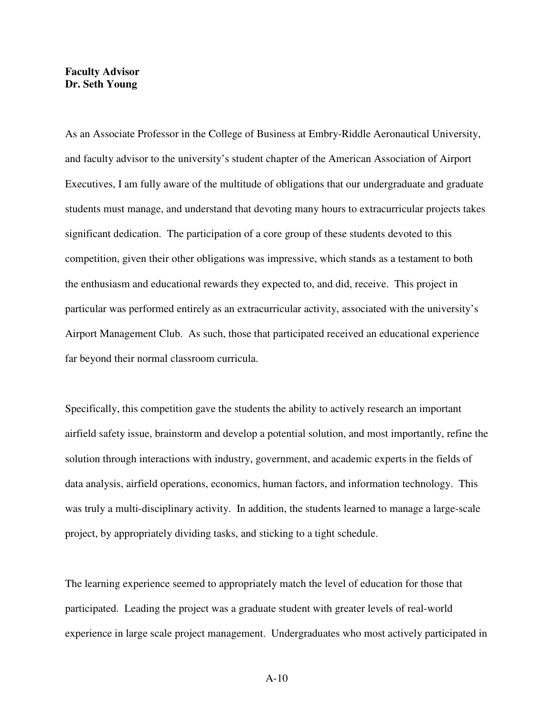### **Faculty Advisor Dr. Seth Young**

As an Associate Professor in the College of Business at Embry-Riddle Aeronautical University, and faculty advisor to the university's student chapter of the American Association of Airport Executives, I am fully aware of the multitude of obligations that our undergraduate and graduate students must manage, and understand that devoting many hours to extracurricular projects takes significant dedication. The participation of a core group of these students devoted to this competition, given their other obligations was impressive, which stands as a testament to both the enthusiasm and educational rewards they expected to, and did, receive. This project in particular was performed entirely as an extracurricular activity, associated with the university's Airport Management Club. As such, those that participated received an educational experience far beyond their normal classroom curricula.

Specifically, this competition gave the students the ability to actively research an important airfield safety issue, brainstorm and develop a potential solution, and most importantly, refine the solution through interactions with industry, government, and academic experts in the fields of data analysis, airfield operations, economics, human factors, and information technology. This was truly a multi-disciplinary activity. In addition, the students learned to manage a large-scale project, by appropriately dividing tasks, and sticking to a tight schedule.

The learning experience seemed to appropriately match the level of education for those that participated. Leading the project was a graduate student with greater levels of real-world experience in large scale project management. Undergraduates who most actively participated in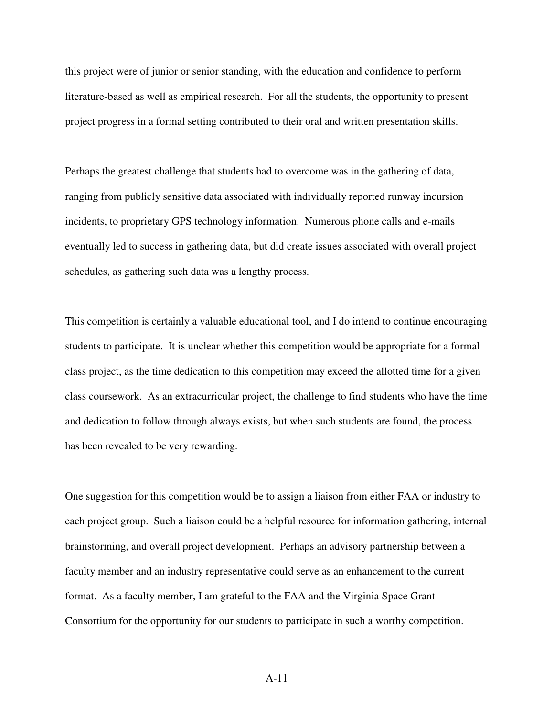this project were of junior or senior standing, with the education and confidence to perform literature-based as well as empirical research. For all the students, the opportunity to present project progress in a formal setting contributed to their oral and written presentation skills.

Perhaps the greatest challenge that students had to overcome was in the gathering of data, ranging from publicly sensitive data associated with individually reported runway incursion incidents, to proprietary GPS technology information. Numerous phone calls and e-mails eventually led to success in gathering data, but did create issues associated with overall project schedules, as gathering such data was a lengthy process.

This competition is certainly a valuable educational tool, and I do intend to continue encouraging students to participate. It is unclear whether this competition would be appropriate for a formal class project, as the time dedication to this competition may exceed the allotted time for a given class coursework. As an extracurricular project, the challenge to find students who have the time and dedication to follow through always exists, but when such students are found, the process has been revealed to be very rewarding.

One suggestion for this competition would be to assign a liaison from either FAA or industry to each project group. Such a liaison could be a helpful resource for information gathering, internal brainstorming, and overall project development. Perhaps an advisory partnership between a faculty member and an industry representative could serve as an enhancement to the current format. As a faculty member, I am grateful to the FAA and the Virginia Space Grant Consortium for the opportunity for our students to participate in such a worthy competition.

A-11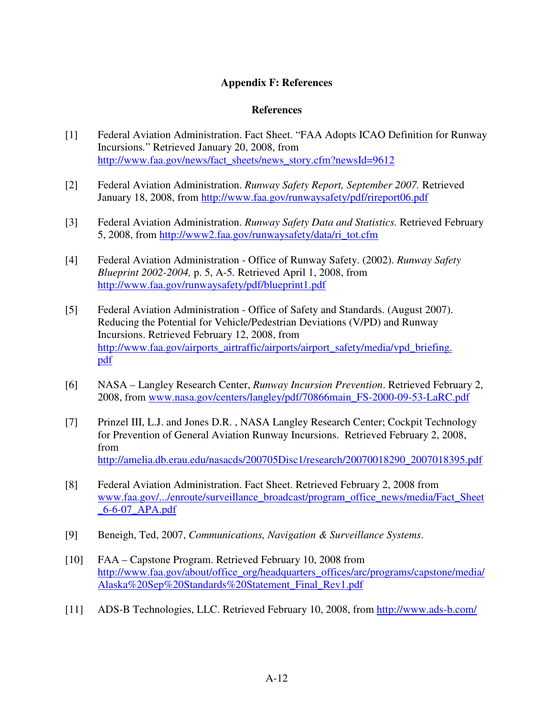## **Appendix F: References**

### **References**

- [1] Federal Aviation Administration. Fact Sheet. "FAA Adopts ICAO Definition for Runway Incursions*.*" Retrieved January 20, 2008, from http://www.faa.gov/news/fact\_sheets/news\_story.cfm?newsId=9612
- [2] Federal Aviation Administration. *Runway Safety Report, September 2007.* Retrieved January 18, 2008, from http://www.faa.gov/runwaysafety/pdf/rireport06.pdf
- [3] Federal Aviation Administration. *Runway Safety Data and Statistics.* Retrieved February 5, 2008, from http://www2.faa.gov/runwaysafety/data/ri\_tot.cfm
- [4] Federal Aviation Administration Office of Runway Safety. (2002). *Runway Safety Blueprint 2002-2004,* p. 5, A-5*.* Retrieved April 1, 2008, from http://www.faa.gov/runwaysafety/pdf/blueprint1.pdf
- [5] Federal Aviation Administration Office of Safety and Standards. (August 2007). Reducing the Potential for Vehicle/Pedestrian Deviations (V/PD) and Runway Incursions. Retrieved February 12, 2008, from http://www.faa.gov/airports\_airtraffic/airports/airport\_safety/media/vpd\_briefing. pdf
- [6] NASA Langley Research Center, *Runway Incursion Prevention*. Retrieved February 2, 2008, from www.nasa.gov/centers/langley/pdf/70866main\_FS-2000-09-53-LaRC.pdf
- [7] Prinzel III, L.J. and Jones D.R. , NASA Langley Research Center; Cockpit Technology for Prevention of General Aviation Runway Incursions. Retrieved February 2, 2008, from http://amelia.db.erau.edu/nasacds/200705Disc1/research/20070018290\_2007018395.pdf
- [8] Federal Aviation Administration. Fact Sheet. Retrieved February 2, 2008 from www.faa.gov/.../enroute/surveillance\_broadcast/program\_office\_news/media/Fact\_Sheet \_6-6-07\_APA.pdf
- [9] Beneigh, Ted, 2007, *Communications, Navigation & Surveillance Systems*.
- [10] FAA Capstone Program. Retrieved February 10, 2008 from http://www.faa.gov/about/office\_org/headquarters\_offices/arc/programs/capstone/media/ Alaska%20Sep%20Standards%20Statement\_Final\_Rev1.pdf
- [11] ADS-B Technologies, LLC. Retrieved February 10, 2008, from http://www.ads-b.com/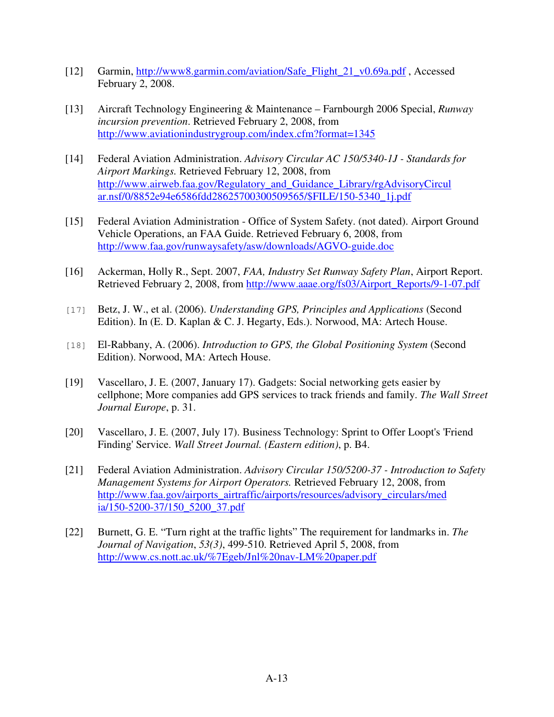- [12] Garmin, http://www8.garmin.com/aviation/Safe\_Flight\_21\_v0.69a.pdf , Accessed February 2, 2008.
- [13] Aircraft Technology Engineering & Maintenance Farnbourgh 2006 Special, *Runway incursion prevention*. Retrieved February 2, 2008, from http://www.aviationindustrygroup.com/index.cfm?format=1345
- [14] Federal Aviation Administration. *Advisory Circular AC 150/5340-1J Standards for Airport Markings.* Retrieved February 12, 2008, from http://www.airweb.faa.gov/Regulatory\_and\_Guidance\_Library/rgAdvisoryCircul ar.nsf/0/8852e94e6586fdd28625700300509565/\$FILE/150-5340\_1j.pdf
- [15] Federal Aviation Administration Office of System Safety. (not dated). Airport Ground Vehicle Operations, an FAA Guide. Retrieved February 6, 2008, from http://www.faa.gov/runwaysafety/asw/downloads/AGVO-guide.doc
- [16] Ackerman, Holly R., Sept. 2007, *FAA, Industry Set Runway Safety Plan*, Airport Report. Retrieved February 2, 2008, from http://www.aaae.org/fs03/Airport\_Reports/9-1-07.pdf
- [17] Betz, J. W., et al. (2006). *Understanding GPS, Principles and Applications* (Second Edition). In (E. D. Kaplan & C. J. Hegarty, Eds.). Norwood, MA: Artech House.
- [18] El-Rabbany, A. (2006). *Introduction to GPS, the Global Positioning System* (Second Edition). Norwood, MA: Artech House.
- [19] Vascellaro, J. E. (2007, January 17). Gadgets: Social networking gets easier by cellphone; More companies add GPS services to track friends and family. *The Wall Street Journal Europe*, p. 31.
- [20] Vascellaro, J. E. (2007, July 17). Business Technology: Sprint to Offer Loopt's 'Friend Finding' Service. *Wall Street Journal. (Eastern edition)*, p. B4.
- [21] Federal Aviation Administration. *Advisory Circular 150/5200-37 Introduction to Safety Management Systems for Airport Operators.* Retrieved February 12, 2008, from http://www.faa.gov/airports\_airtraffic/airports/resources/advisory\_circulars/med ia/150-5200-37/150\_5200\_37.pdf
- [22] Burnett, G. E. "Turn right at the traffic lights" The requirement for landmarks in. *The Journal of Navigation*, *53(3)*, 499-510. Retrieved April 5, 2008, from http://www.cs.nott.ac.uk/%7Egeb/Jnl%20nav-LM%20paper.pdf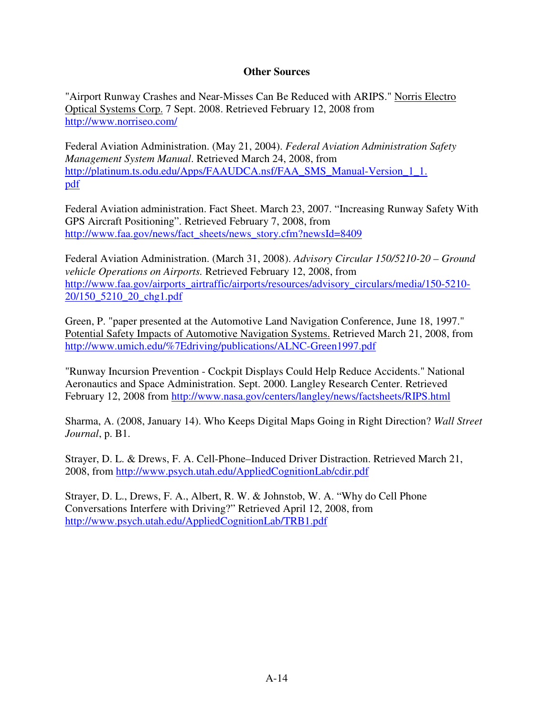## **Other Sources**

"Airport Runway Crashes and Near-Misses Can Be Reduced with ARIPS." Norris Electro Optical Systems Corp. 7 Sept. 2008. Retrieved February 12, 2008 from http://www.norriseo.com/

Federal Aviation Administration. (May 21, 2004). *Federal Aviation Administration Safety Management System Manual*. Retrieved March 24, 2008, from http://platinum.ts.odu.edu/Apps/FAAUDCA.nsf/FAA\_SMS\_Manual-Version\_1\_1. pdf

Federal Aviation administration. Fact Sheet. March 23, 2007. "Increasing Runway Safety With GPS Aircraft Positioning". Retrieved February 7, 2008, from http://www.faa.gov/news/fact\_sheets/news\_story.cfm?newsId=8409

Federal Aviation Administration. (March 31, 2008). *Advisory Circular 150/5210-20 – Ground vehicle Operations on Airports.* Retrieved February 12, 2008, from http://www.faa.gov/airports\_airtraffic/airports/resources/advisory\_circulars/media/150-5210- 20/150\_5210\_20\_chg1.pdf

Green, P. "paper presented at the Automotive Land Navigation Conference, June 18, 1997." Potential Safety Impacts of Automotive Navigation Systems. Retrieved March 21, 2008, from http://www.umich.edu/%7Edriving/publications/ALNC-Green1997.pdf

"Runway Incursion Prevention - Cockpit Displays Could Help Reduce Accidents." National Aeronautics and Space Administration. Sept. 2000. Langley Research Center. Retrieved February 12, 2008 from http://www.nasa.gov/centers/langley/news/factsheets/RIPS.html

Sharma, A. (2008, January 14). Who Keeps Digital Maps Going in Right Direction? *Wall Street Journal*, p. B1.

Strayer, D. L. & Drews, F. A. Cell-Phone–Induced Driver Distraction. Retrieved March 21, 2008, from http://www.psych.utah.edu/AppliedCognitionLab/cdir.pdf

Strayer, D. L., Drews, F. A., Albert, R. W. & Johnstob, W. A. "Why do Cell Phone Conversations Interfere with Driving?" Retrieved April 12, 2008, from http://www.psych.utah.edu/AppliedCognitionLab/TRB1.pdf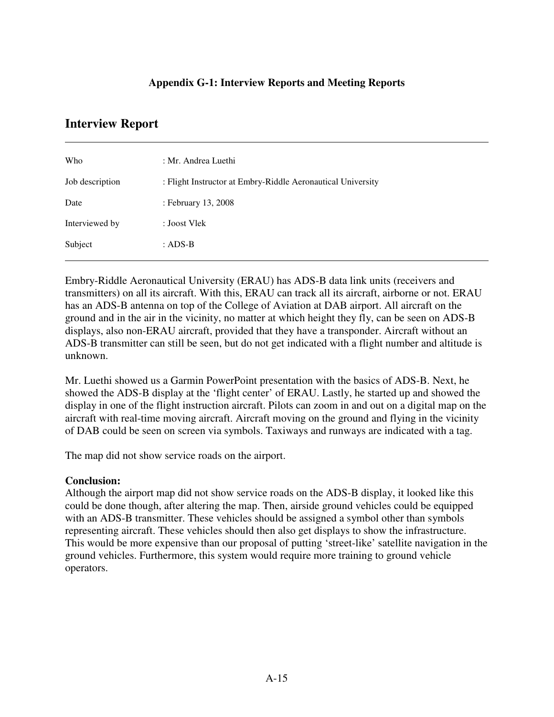## **Appendix G-1: Interview Reports and Meeting Reports**

# **Interview Report**

 $\overline{a}$ 

| Who             | : Mr. Andrea Luethi                                         |
|-----------------|-------------------------------------------------------------|
| Job description | : Flight Instructor at Embry-Riddle Aeronautical University |
| Date            | : February 13, 2008                                         |
| Interviewed by  | : Joost Vlek                                                |
| Subject         | : $ADS-B$                                                   |
|                 |                                                             |

Embry-Riddle Aeronautical University (ERAU) has ADS-B data link units (receivers and transmitters) on all its aircraft. With this, ERAU can track all its aircraft, airborne or not. ERAU has an ADS-B antenna on top of the College of Aviation at DAB airport. All aircraft on the ground and in the air in the vicinity, no matter at which height they fly, can be seen on ADS-B displays, also non-ERAU aircraft, provided that they have a transponder. Aircraft without an ADS-B transmitter can still be seen, but do not get indicated with a flight number and altitude is unknown.

Mr. Luethi showed us a Garmin PowerPoint presentation with the basics of ADS-B. Next, he showed the ADS-B display at the 'flight center' of ERAU. Lastly, he started up and showed the display in one of the flight instruction aircraft. Pilots can zoom in and out on a digital map on the aircraft with real-time moving aircraft. Aircraft moving on the ground and flying in the vicinity of DAB could be seen on screen via symbols. Taxiways and runways are indicated with a tag.

The map did not show service roads on the airport.

## **Conclusion:**

Although the airport map did not show service roads on the ADS-B display, it looked like this could be done though, after altering the map. Then, airside ground vehicles could be equipped with an ADS-B transmitter. These vehicles should be assigned a symbol other than symbols representing aircraft. These vehicles should then also get displays to show the infrastructure. This would be more expensive than our proposal of putting 'street-like' satellite navigation in the ground vehicles. Furthermore, this system would require more training to ground vehicle operators.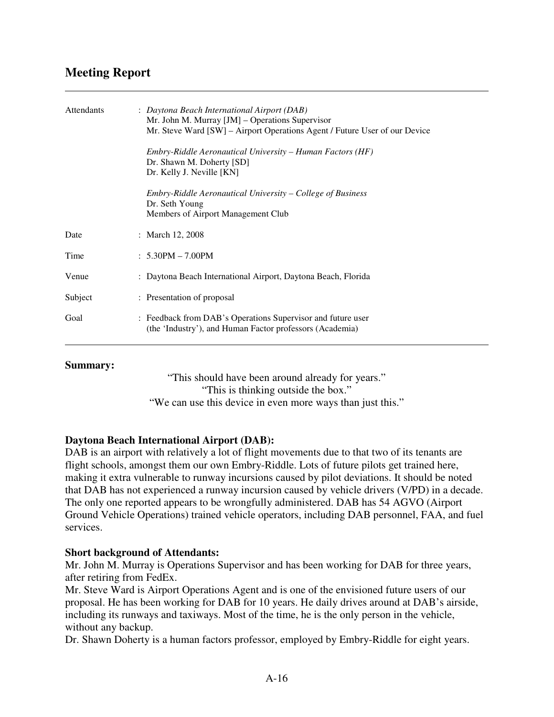# **Meeting Report**

 $\overline{a}$ 

| <b>Attendants</b> | : Daytona Beach International Airport (DAB)<br>Mr. John M. Murray [JM] - Operations Supervisor<br>Mr. Steve Ward [SW] – Airport Operations Agent / Future User of our Device |
|-------------------|------------------------------------------------------------------------------------------------------------------------------------------------------------------------------|
|                   | Embry-Riddle Aeronautical University – Human Factors (HF)<br>Dr. Shawn M. Doherty [SD]<br>Dr. Kelly J. Neville [KN]                                                          |
|                   | Embry-Riddle Aeronautical University – College of Business<br>Dr. Seth Young<br>Members of Airport Management Club                                                           |
| Date              | : March 12, 2008                                                                                                                                                             |
| Time              | $: 5.30PM - 7.00PM$                                                                                                                                                          |
| Venue             | : Daytona Beach International Airport, Daytona Beach, Florida                                                                                                                |
| Subject           | : Presentation of proposal                                                                                                                                                   |
| Goal              | : Feedback from DAB's Operations Supervisor and future user<br>(the 'Industry'), and Human Factor professors (Academia)                                                      |

### **Summary:**

"This should have been around already for years." "This is thinking outside the box." "We can use this device in even more ways than just this."

## **Daytona Beach International Airport (DAB):**

DAB is an airport with relatively a lot of flight movements due to that two of its tenants are flight schools, amongst them our own Embry-Riddle. Lots of future pilots get trained here, making it extra vulnerable to runway incursions caused by pilot deviations. It should be noted that DAB has not experienced a runway incursion caused by vehicle drivers (V/PD) in a decade. The only one reported appears to be wrongfully administered. DAB has 54 AGVO (Airport Ground Vehicle Operations) trained vehicle operators, including DAB personnel, FAA, and fuel services.

## **Short background of Attendants:**

Mr. John M. Murray is Operations Supervisor and has been working for DAB for three years, after retiring from FedEx.

Mr. Steve Ward is Airport Operations Agent and is one of the envisioned future users of our proposal. He has been working for DAB for 10 years. He daily drives around at DAB's airside, including its runways and taxiways. Most of the time, he is the only person in the vehicle, without any backup.

Dr. Shawn Doherty is a human factors professor, employed by Embry-Riddle for eight years.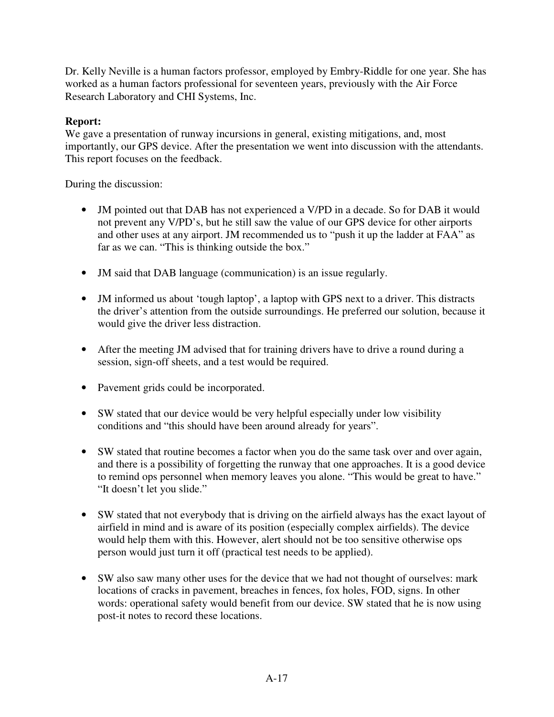Dr. Kelly Neville is a human factors professor, employed by Embry-Riddle for one year. She has worked as a human factors professional for seventeen years, previously with the Air Force Research Laboratory and CHI Systems, Inc.

# **Report:**

We gave a presentation of runway incursions in general, existing mitigations, and, most importantly, our GPS device. After the presentation we went into discussion with the attendants. This report focuses on the feedback.

During the discussion:

- JM pointed out that DAB has not experienced a V/PD in a decade. So for DAB it would not prevent any V/PD's, but he still saw the value of our GPS device for other airports and other uses at any airport. JM recommended us to "push it up the ladder at FAA" as far as we can. "This is thinking outside the box."
- JM said that DAB language (communication) is an issue regularly.
- JM informed us about 'tough laptop', a laptop with GPS next to a driver. This distracts the driver's attention from the outside surroundings. He preferred our solution, because it would give the driver less distraction.
- After the meeting JM advised that for training drivers have to drive a round during a session, sign-off sheets, and a test would be required.
- Pavement grids could be incorporated.
- SW stated that our device would be very helpful especially under low visibility conditions and "this should have been around already for years".
- SW stated that routine becomes a factor when you do the same task over and over again, and there is a possibility of forgetting the runway that one approaches. It is a good device to remind ops personnel when memory leaves you alone. "This would be great to have." "It doesn't let you slide."
- SW stated that not everybody that is driving on the airfield always has the exact layout of airfield in mind and is aware of its position (especially complex airfields). The device would help them with this. However, alert should not be too sensitive otherwise ops person would just turn it off (practical test needs to be applied).
- SW also saw many other uses for the device that we had not thought of ourselves: mark locations of cracks in pavement, breaches in fences, fox holes, FOD, signs. In other words: operational safety would benefit from our device. SW stated that he is now using post-it notes to record these locations.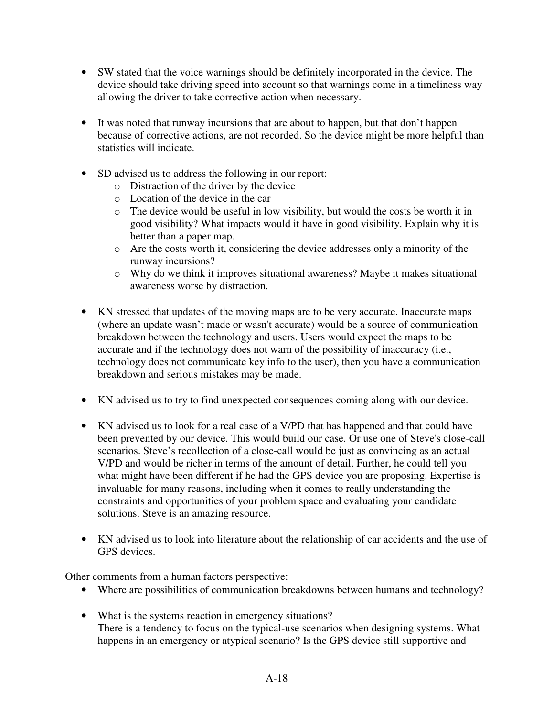- SW stated that the voice warnings should be definitely incorporated in the device. The device should take driving speed into account so that warnings come in a timeliness way allowing the driver to take corrective action when necessary.
- It was noted that runway incursions that are about to happen, but that don't happen because of corrective actions, are not recorded. So the device might be more helpful than statistics will indicate.
- SD advised us to address the following in our report:
	- o Distraction of the driver by the device
	- o Location of the device in the car
	- o The device would be useful in low visibility, but would the costs be worth it in good visibility? What impacts would it have in good visibility. Explain why it is better than a paper map.
	- o Are the costs worth it, considering the device addresses only a minority of the runway incursions?
	- o Why do we think it improves situational awareness? Maybe it makes situational awareness worse by distraction.
- KN stressed that updates of the moving maps are to be very accurate. Inaccurate maps (where an update wasn't made or wasn't accurate) would be a source of communication breakdown between the technology and users. Users would expect the maps to be accurate and if the technology does not warn of the possibility of inaccuracy (i.e., technology does not communicate key info to the user), then you have a communication breakdown and serious mistakes may be made.
- KN advised us to try to find unexpected consequences coming along with our device.
- KN advised us to look for a real case of a V/PD that has happened and that could have been prevented by our device. This would build our case. Or use one of Steve's close-call scenarios. Steve's recollection of a close-call would be just as convincing as an actual V/PD and would be richer in terms of the amount of detail. Further, he could tell you what might have been different if he had the GPS device you are proposing. Expertise is invaluable for many reasons, including when it comes to really understanding the constraints and opportunities of your problem space and evaluating your candidate solutions. Steve is an amazing resource.
- KN advised us to look into literature about the relationship of car accidents and the use of GPS devices.

Other comments from a human factors perspective:

- Where are possibilities of communication breakdowns between humans and technology?
- What is the systems reaction in emergency situations? There is a tendency to focus on the typical-use scenarios when designing systems. What happens in an emergency or atypical scenario? Is the GPS device still supportive and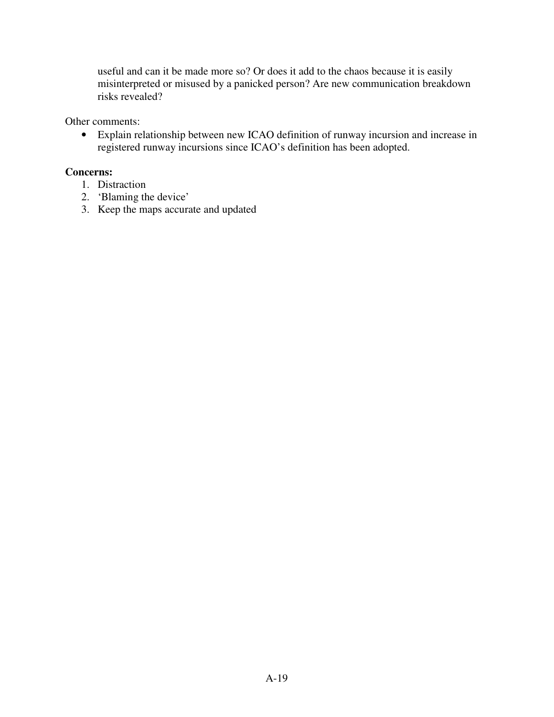useful and can it be made more so? Or does it add to the chaos because it is easily misinterpreted or misused by a panicked person? Are new communication breakdown risks revealed?

Other comments:

• Explain relationship between new ICAO definition of runway incursion and increase in registered runway incursions since ICAO's definition has been adopted.

# **Concerns:**

- 1. Distraction
- 2. 'Blaming the device'
- 3. Keep the maps accurate and updated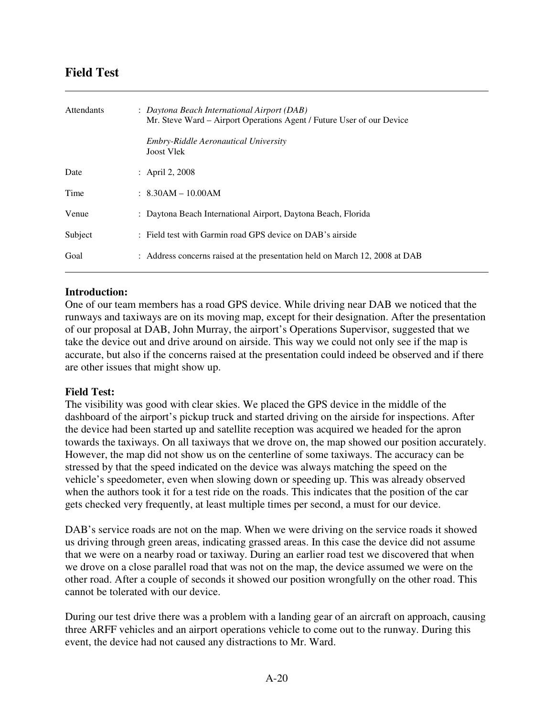# **Field Test**

 $\overline{a}$ 

| <b>Attendants</b> | : Daytona Beach International Airport (DAB)<br>Mr. Steve Ward – Airport Operations Agent / Future User of our Device<br>Embry-Riddle Aeronautical University<br><b>Joost Vlek</b> |
|-------------------|-----------------------------------------------------------------------------------------------------------------------------------------------------------------------------------|
| Date              | : April 2, 2008                                                                                                                                                                   |
| Time              | $: 8.30AM - 10.00AM$                                                                                                                                                              |
| Venue             | : Daytona Beach International Airport, Daytona Beach, Florida                                                                                                                     |
| Subject           | : Field test with Garmin road GPS device on DAB's airside                                                                                                                         |
| Goal              | : Address concerns raised at the presentation held on March 12, 2008 at DAB                                                                                                       |

## **Introduction:**

One of our team members has a road GPS device. While driving near DAB we noticed that the runways and taxiways are on its moving map, except for their designation. After the presentation of our proposal at DAB, John Murray, the airport's Operations Supervisor, suggested that we take the device out and drive around on airside. This way we could not only see if the map is accurate, but also if the concerns raised at the presentation could indeed be observed and if there are other issues that might show up.

### **Field Test:**

The visibility was good with clear skies. We placed the GPS device in the middle of the dashboard of the airport's pickup truck and started driving on the airside for inspections. After the device had been started up and satellite reception was acquired we headed for the apron towards the taxiways. On all taxiways that we drove on, the map showed our position accurately. However, the map did not show us on the centerline of some taxiways. The accuracy can be stressed by that the speed indicated on the device was always matching the speed on the vehicle's speedometer, even when slowing down or speeding up. This was already observed when the authors took it for a test ride on the roads. This indicates that the position of the car gets checked very frequently, at least multiple times per second, a must for our device.

DAB's service roads are not on the map. When we were driving on the service roads it showed us driving through green areas, indicating grassed areas. In this case the device did not assume that we were on a nearby road or taxiway. During an earlier road test we discovered that when we drove on a close parallel road that was not on the map, the device assumed we were on the other road. After a couple of seconds it showed our position wrongfully on the other road. This cannot be tolerated with our device.

During our test drive there was a problem with a landing gear of an aircraft on approach, causing three ARFF vehicles and an airport operations vehicle to come out to the runway. During this event, the device had not caused any distractions to Mr. Ward.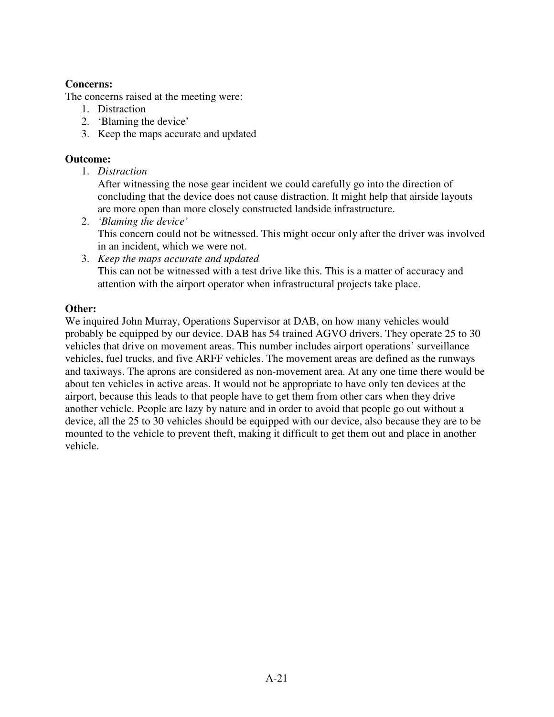# **Concerns:**

The concerns raised at the meeting were:

- 1. Distraction
- 2. 'Blaming the device'
- 3. Keep the maps accurate and updated

# **Outcome:**

1. *Distraction* 

After witnessing the nose gear incident we could carefully go into the direction of concluding that the device does not cause distraction. It might help that airside layouts are more open than more closely constructed landside infrastructure.

- 2. *'Blaming the device'*  This concern could not be witnessed. This might occur only after the driver was involved in an incident, which we were not.
- 3. *Keep the maps accurate and updated* This can not be witnessed with a test drive like this. This is a matter of accuracy and attention with the airport operator when infrastructural projects take place.

# **Other:**

We inquired John Murray, Operations Supervisor at DAB, on how many vehicles would probably be equipped by our device. DAB has 54 trained AGVO drivers. They operate 25 to 30 vehicles that drive on movement areas. This number includes airport operations' surveillance vehicles, fuel trucks, and five ARFF vehicles. The movement areas are defined as the runways and taxiways. The aprons are considered as non-movement area. At any one time there would be about ten vehicles in active areas. It would not be appropriate to have only ten devices at the airport, because this leads to that people have to get them from other cars when they drive another vehicle. People are lazy by nature and in order to avoid that people go out without a device, all the 25 to 30 vehicles should be equipped with our device, also because they are to be mounted to the vehicle to prevent theft, making it difficult to get them out and place in another vehicle.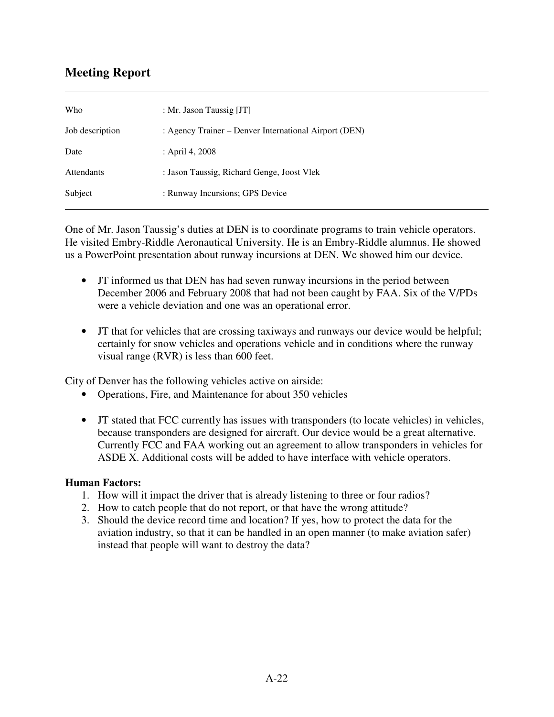# **Meeting Report**

 $\overline{a}$ 

| : Mr. Jason Taussig [JT]                              |
|-------------------------------------------------------|
| : Agency Trainer – Denver International Airport (DEN) |
| : April 4, 2008                                       |
| : Jason Taussig, Richard Genge, Joost Vlek            |
| : Runway Incursions; GPS Device                       |
|                                                       |

One of Mr. Jason Taussig's duties at DEN is to coordinate programs to train vehicle operators. He visited Embry-Riddle Aeronautical University. He is an Embry-Riddle alumnus. He showed us a PowerPoint presentation about runway incursions at DEN. We showed him our device.

- JT informed us that DEN has had seven runway incursions in the period between December 2006 and February 2008 that had not been caught by FAA. Six of the V/PDs were a vehicle deviation and one was an operational error.
- JT that for vehicles that are crossing taxiways and runways our device would be helpful; certainly for snow vehicles and operations vehicle and in conditions where the runway visual range (RVR) is less than 600 feet.

City of Denver has the following vehicles active on airside:

- Operations, Fire, and Maintenance for about 350 vehicles
- JT stated that FCC currently has issues with transponders (to locate vehicles) in vehicles, because transponders are designed for aircraft. Our device would be a great alternative. Currently FCC and FAA working out an agreement to allow transponders in vehicles for ASDE X. Additional costs will be added to have interface with vehicle operators.

## **Human Factors:**

- 1. How will it impact the driver that is already listening to three or four radios?
- 2. How to catch people that do not report, or that have the wrong attitude?
- 3. Should the device record time and location? If yes, how to protect the data for the aviation industry, so that it can be handled in an open manner (to make aviation safer) instead that people will want to destroy the data?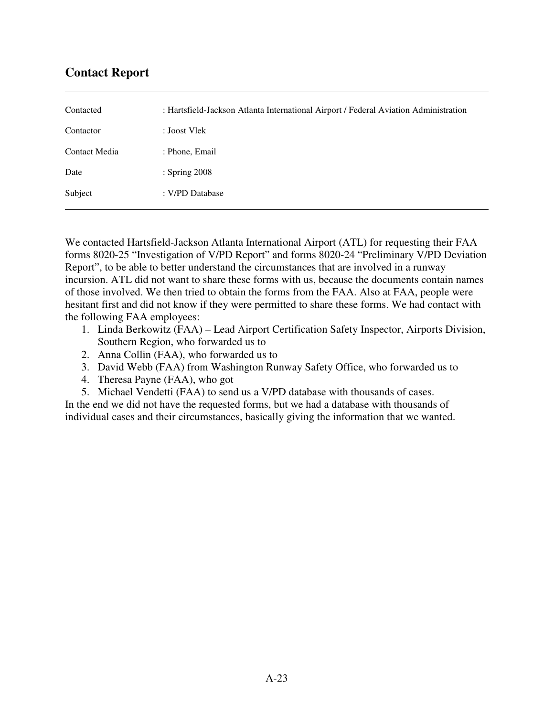# **Contact Report**

 $\overline{a}$ 

| Contacted     | : Hartsfield-Jackson Atlanta International Airport / Federal Aviation Administration |
|---------------|--------------------------------------------------------------------------------------|
| Contactor     | : Joost Vlek                                                                         |
| Contact Media | : Phone, Email                                                                       |
| Date          | : Spring 2008                                                                        |
| Subject       | : V/PD Database                                                                      |
|               |                                                                                      |

We contacted Hartsfield-Jackson Atlanta International Airport (ATL) for requesting their FAA forms 8020-25 "Investigation of V/PD Report" and forms 8020-24 "Preliminary V/PD Deviation Report", to be able to better understand the circumstances that are involved in a runway incursion. ATL did not want to share these forms with us, because the documents contain names of those involved. We then tried to obtain the forms from the FAA. Also at FAA, people were hesitant first and did not know if they were permitted to share these forms. We had contact with the following FAA employees:

- 1. Linda Berkowitz (FAA) Lead Airport Certification Safety Inspector, Airports Division, Southern Region, who forwarded us to
- 2. Anna Collin (FAA), who forwarded us to
- 3. David Webb (FAA) from Washington Runway Safety Office, who forwarded us to
- 4. Theresa Payne (FAA), who got
- 5. Michael Vendetti (FAA) to send us a V/PD database with thousands of cases.

In the end we did not have the requested forms, but we had a database with thousands of individual cases and their circumstances, basically giving the information that we wanted.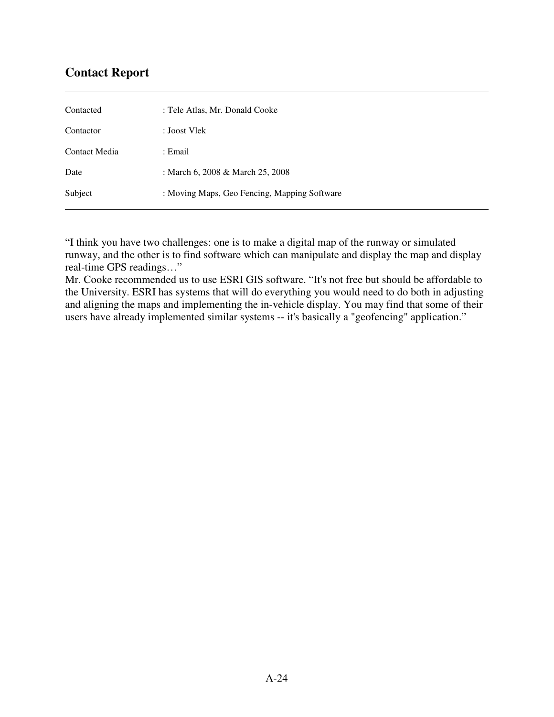# **Contact Report**

 $\overline{a}$ 

| Contacted     | : Tele Atlas, Mr. Donald Cooke               |
|---------------|----------------------------------------------|
| Contactor     | : Joost Vlek                                 |
| Contact Media | : Email                                      |
| Date          | : March 6, 2008 & March 25, 2008             |
| Subject       | : Moving Maps, Geo Fencing, Mapping Software |

"I think you have two challenges: one is to make a digital map of the runway or simulated runway, and the other is to find software which can manipulate and display the map and display real-time GPS readings…"

Mr. Cooke recommended us to use ESRI GIS software. "It's not free but should be affordable to the University. ESRI has systems that will do everything you would need to do both in adjusting and aligning the maps and implementing the in-vehicle display. You may find that some of their users have already implemented similar systems -- it's basically a "geofencing" application."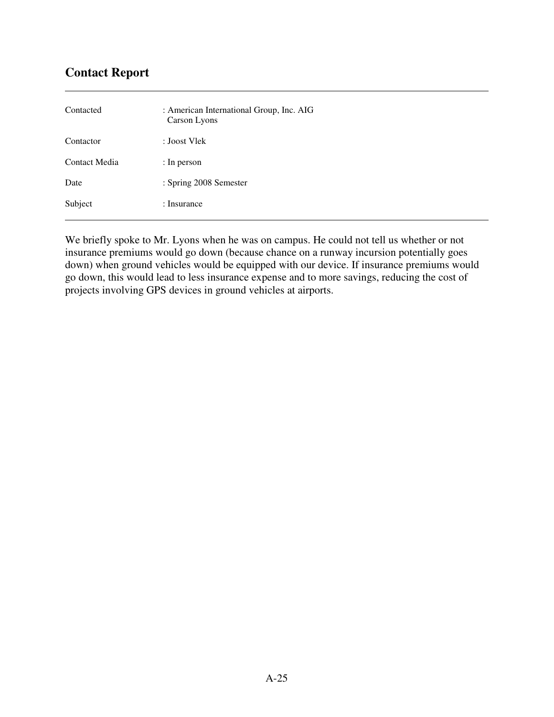# **Contact Report**

 $\overline{a}$ 

| Contacted     | : American International Group, Inc. AIG<br>Carson Lyons |
|---------------|----------------------------------------------------------|
| Contactor     | : Joost Vlek                                             |
| Contact Media | : In person                                              |
| Date          | : Spring 2008 Semester                                   |
| Subject       | : Insurance                                              |

We briefly spoke to Mr. Lyons when he was on campus. He could not tell us whether or not insurance premiums would go down (because chance on a runway incursion potentially goes down) when ground vehicles would be equipped with our device. If insurance premiums would go down, this would lead to less insurance expense and to more savings, reducing the cost of projects involving GPS devices in ground vehicles at airports.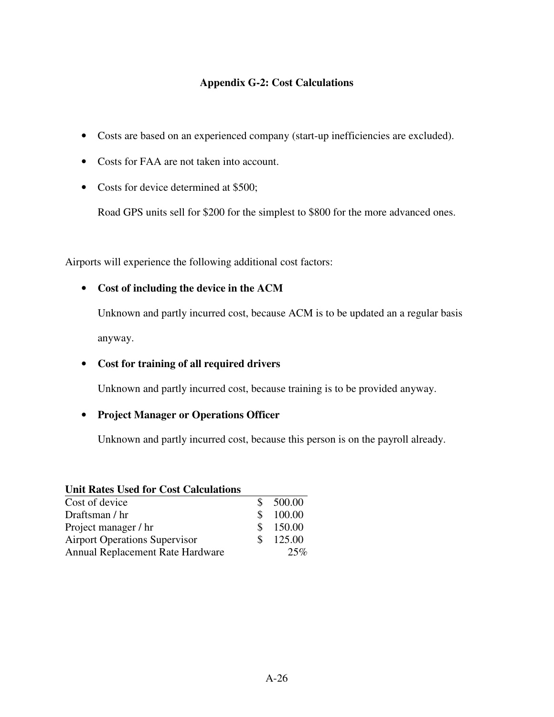# **Appendix G-2: Cost Calculations**

- Costs are based on an experienced company (start-up inefficiencies are excluded).
- Costs for FAA are not taken into account.
- Costs for device determined at \$500;

Road GPS units sell for \$200 for the simplest to \$800 for the more advanced ones.

Airports will experience the following additional cost factors:

# • **Cost of including the device in the ACM**

Unknown and partly incurred cost, because ACM is to be updated an a regular basis anyway.

# • **Cost for training of all required drivers**

Unknown and partly incurred cost, because training is to be provided anyway.

## • **Project Manager or Operations Officer**

Unknown and partly incurred cost, because this person is on the payroll already.

| <b>Unit Rates Used for Cost Calculations</b> |     |        |
|----------------------------------------------|-----|--------|
| Cost of device                               |     | 500.00 |
| Draftsman / hr                               | S.  | 100.00 |
| Project manager / hr                         | S.  | 150.00 |
| <b>Airport Operations Supervisor</b>         | SS. | 125.00 |
| Annual Replacement Rate Hardware             |     | 25%    |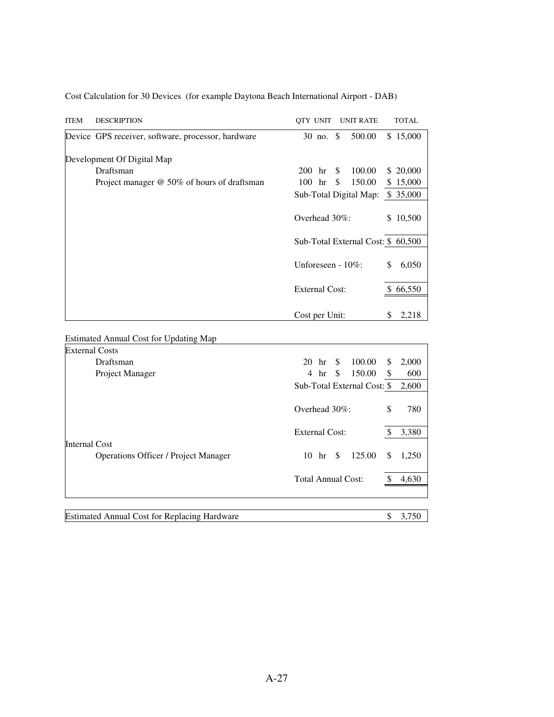| <b>ITEM</b>           | <b>DESCRIPTION</b>                                                           | QTY UNIT<br><b>UNIT RATE</b>         | <b>TOTAL</b> |  |
|-----------------------|------------------------------------------------------------------------------|--------------------------------------|--------------|--|
|                       | Device GPS receiver, software, processor, hardware                           | 30 no. \$<br>500.00                  | \$15,000     |  |
|                       | Development Of Digital Map                                                   |                                      |              |  |
|                       | Draftsman                                                                    | 100.00<br>200<br>hr<br>$\mathbb{S}$  | 20,000<br>S  |  |
|                       | Project manager @ 50% of hours of draftsman                                  | 150.00<br>100 hr<br>\$               | \$15,000     |  |
|                       |                                                                              | Sub-Total Digital Map:               | \$35,000     |  |
|                       |                                                                              | Overhead 30%:                        | \$10,500     |  |
|                       |                                                                              | Sub-Total External Cost: \$ 60,500   |              |  |
|                       |                                                                              | Unforeseen - 10%:                    | \$<br>6,050  |  |
|                       |                                                                              | <b>External Cost:</b>                | \$66,550     |  |
|                       |                                                                              | Cost per Unit:                       | 2,218<br>S   |  |
|                       | <b>Estimated Annual Cost for Updating Map</b>                                |                                      |              |  |
| <b>External Costs</b> |                                                                              |                                      |              |  |
|                       | Draftsman                                                                    | \$<br>100.00<br>20<br>hr             | 2,000<br>\$  |  |
|                       | Project Manager                                                              | hr<br>\$<br>150.00<br>$\overline{4}$ | 600<br>\$    |  |
|                       |                                                                              | Sub-Total External Cost: \$          | 2,600        |  |
|                       |                                                                              | Overhead 30%:                        | \$<br>780    |  |
|                       |                                                                              | <b>External Cost:</b>                | \$<br>3,380  |  |
| <b>Internal Cost</b>  |                                                                              |                                      |              |  |
|                       | <b>Operations Officer / Project Manager</b>                                  | 125.00<br>$10 \text{ hr}$ \$         | 1,250<br>S   |  |
|                       |                                                                              | <b>Total Annual Cost:</b>            | \$<br>4,630  |  |
|                       |                                                                              |                                      |              |  |
| le and                | $10.4 \, \text{C}$ $\text{D} \cdot 1$ .<br>$\lambda = 1 - \lambda$<br>$TT$ . |                                      | ₼<br>2.750   |  |

Cost Calculation for 30 Devices (for example Daytona Beach International Airport - DAB)

Estimated Annual Cost for Replacing Hardware  $$3,750$